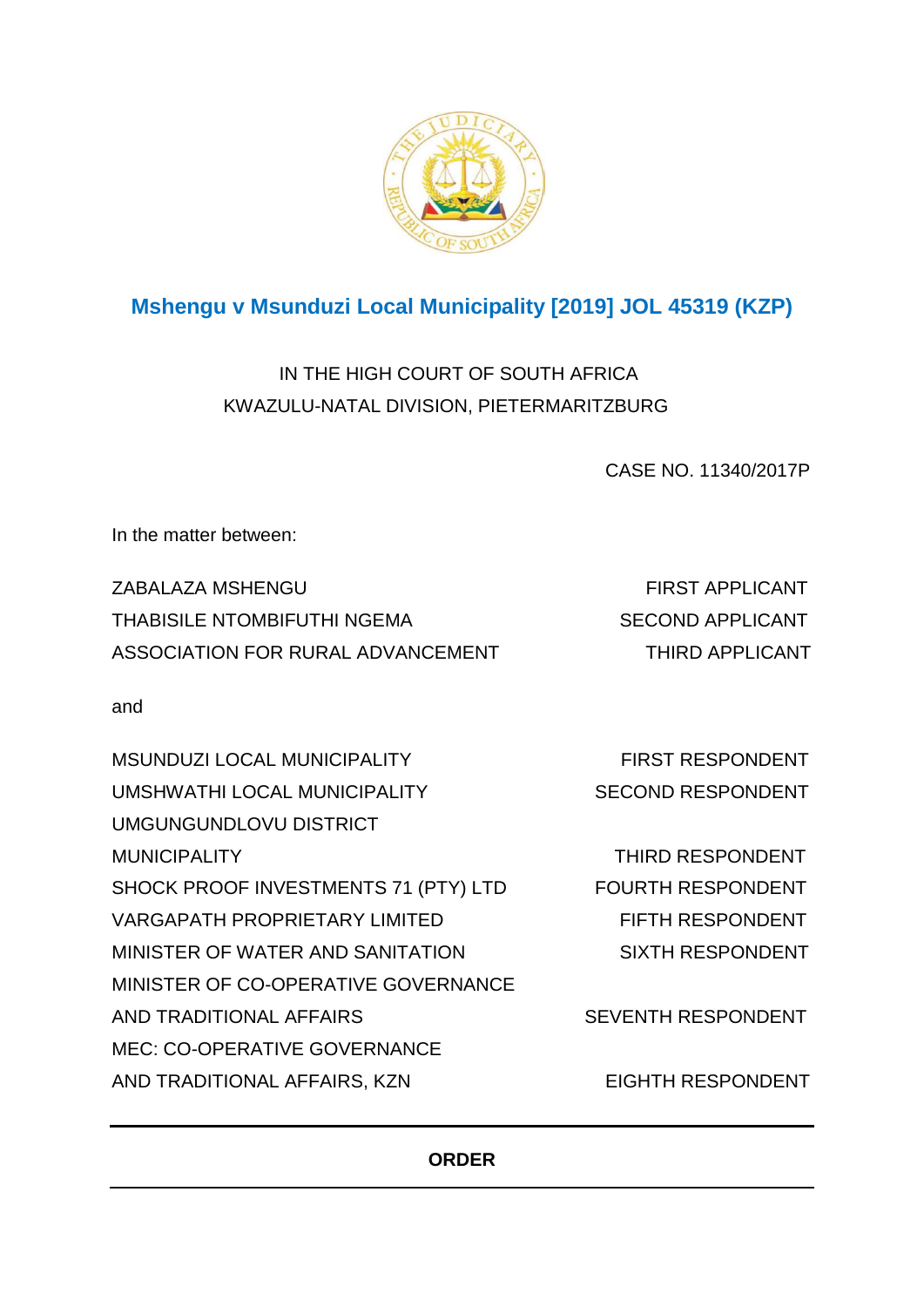

# **Mshengu v Msunduzi Local Municipality [2019] JOL 45319 (KZP)**

IN THE HIGH COURT OF SOUTH AFRICA KWAZULU-NATAL DIVISION, PIETERMARITZBURG

CASE NO. 11340/2017P

In the matter between:

ZABALAZA MSHENGU FIRST APPLICANT THABISILE NTOMBIFUTHI NGEMA SECOND APPLICANT ASSOCIATION FOR RURAL ADVANCEMENT THIRD APPLICANT

and

| <b>MSUNDUZI LOCAL MUNICIPALITY</b>   | <b>FIRST RESPONDENT</b>   |
|--------------------------------------|---------------------------|
| UMSHWATHI LOCAL MUNICIPALITY         | <b>SECOND RESPONDENT</b>  |
| UMGUNGUNDLOVU DISTRICT               |                           |
| <b>MUNICIPALITY</b>                  | <b>THIRD RESPONDENT</b>   |
| SHOCK PROOF INVESTMENTS 71 (PTY) LTD | <b>FOURTH RESPONDENT</b>  |
| <b>VARGAPATH PROPRIETARY LIMITED</b> | FIFTH RESPONDENT          |
| MINISTER OF WATER AND SANITATION     | <b>SIXTH RESPONDENT</b>   |
| MINISTER OF CO-OPERATIVE GOVERNANCE  |                           |
| AND TRADITIONAL AFFAIRS              | <b>SEVENTH RESPONDENT</b> |
| <b>MEC: CO-OPERATIVE GOVERNANCE</b>  |                           |
| AND TRADITIONAL AFFAIRS, KZN         | <b>EIGHTH RESPONDENT</b>  |

# **ORDER**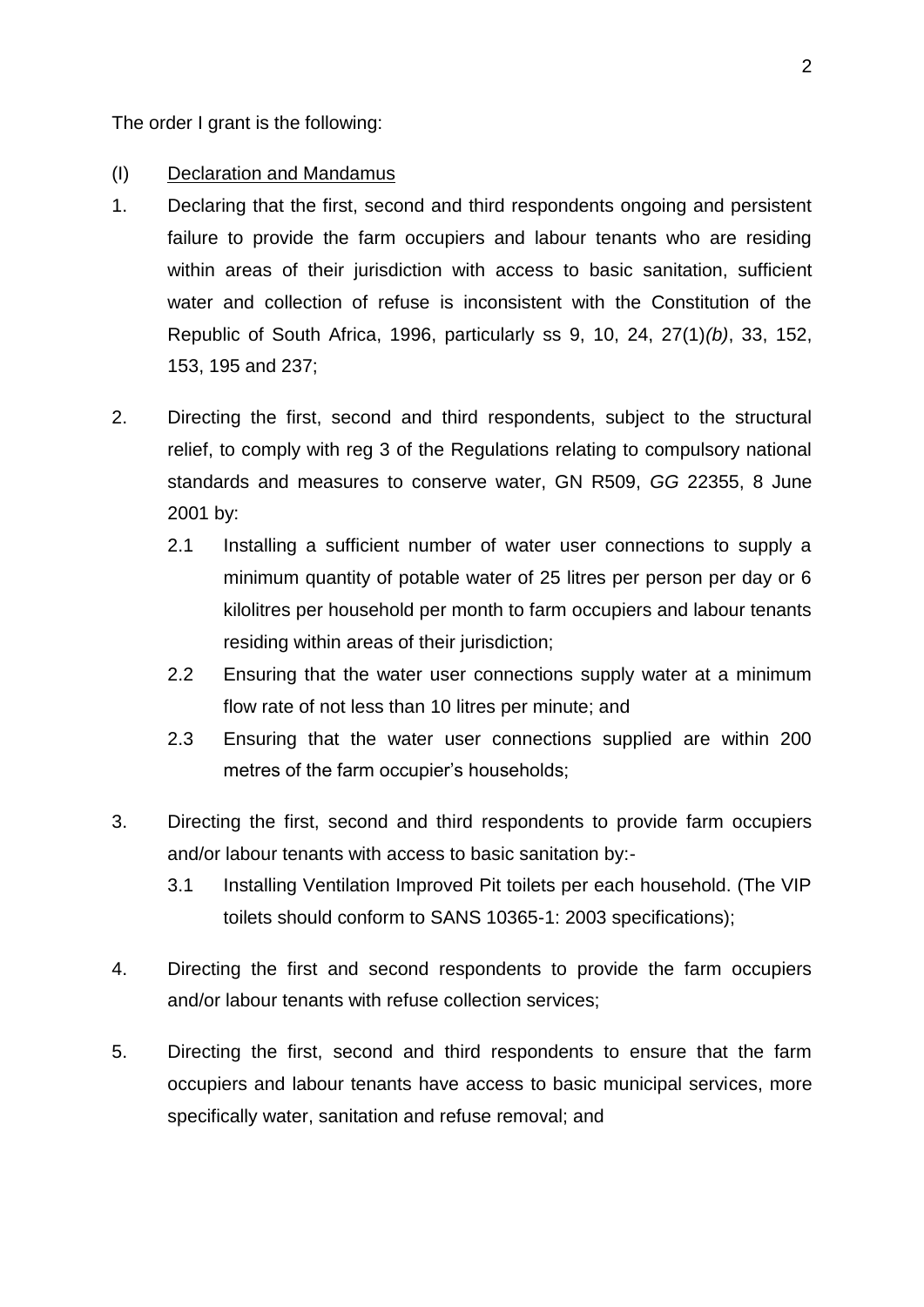The order I grant is the following:

## (I) Declaration and Mandamus

- 1. Declaring that the first, second and third respondents ongoing and persistent failure to provide the farm occupiers and labour tenants who are residing within areas of their jurisdiction with access to basic sanitation, sufficient water and collection of refuse is inconsistent with the Constitution of the Republic of South Africa, 1996, particularly ss 9, 10, 24, 27(1)*(b)*, 33, 152, 153, 195 and 237;
- 2. Directing the first, second and third respondents, subject to the structural relief, to comply with reg 3 of the Regulations relating to compulsory national standards and measures to conserve water, GN R509, *GG* 22355, 8 June 2001 by:
	- 2.1 Installing a sufficient number of water user connections to supply a minimum quantity of potable water of 25 litres per person per day or 6 kilolitres per household per month to farm occupiers and labour tenants residing within areas of their jurisdiction;
	- 2.2 Ensuring that the water user connections supply water at a minimum flow rate of not less than 10 litres per minute; and
	- 2.3 Ensuring that the water user connections supplied are within 200 metres of the farm occupier's households;
- 3. Directing the first, second and third respondents to provide farm occupiers and/or labour tenants with access to basic sanitation by:-
	- 3.1 Installing Ventilation Improved Pit toilets per each household. (The VIP toilets should conform to SANS 10365-1: 2003 specifications);
- 4. Directing the first and second respondents to provide the farm occupiers and/or labour tenants with refuse collection services;
- 5. Directing the first, second and third respondents to ensure that the farm occupiers and labour tenants have access to basic municipal services, more specifically water, sanitation and refuse removal; and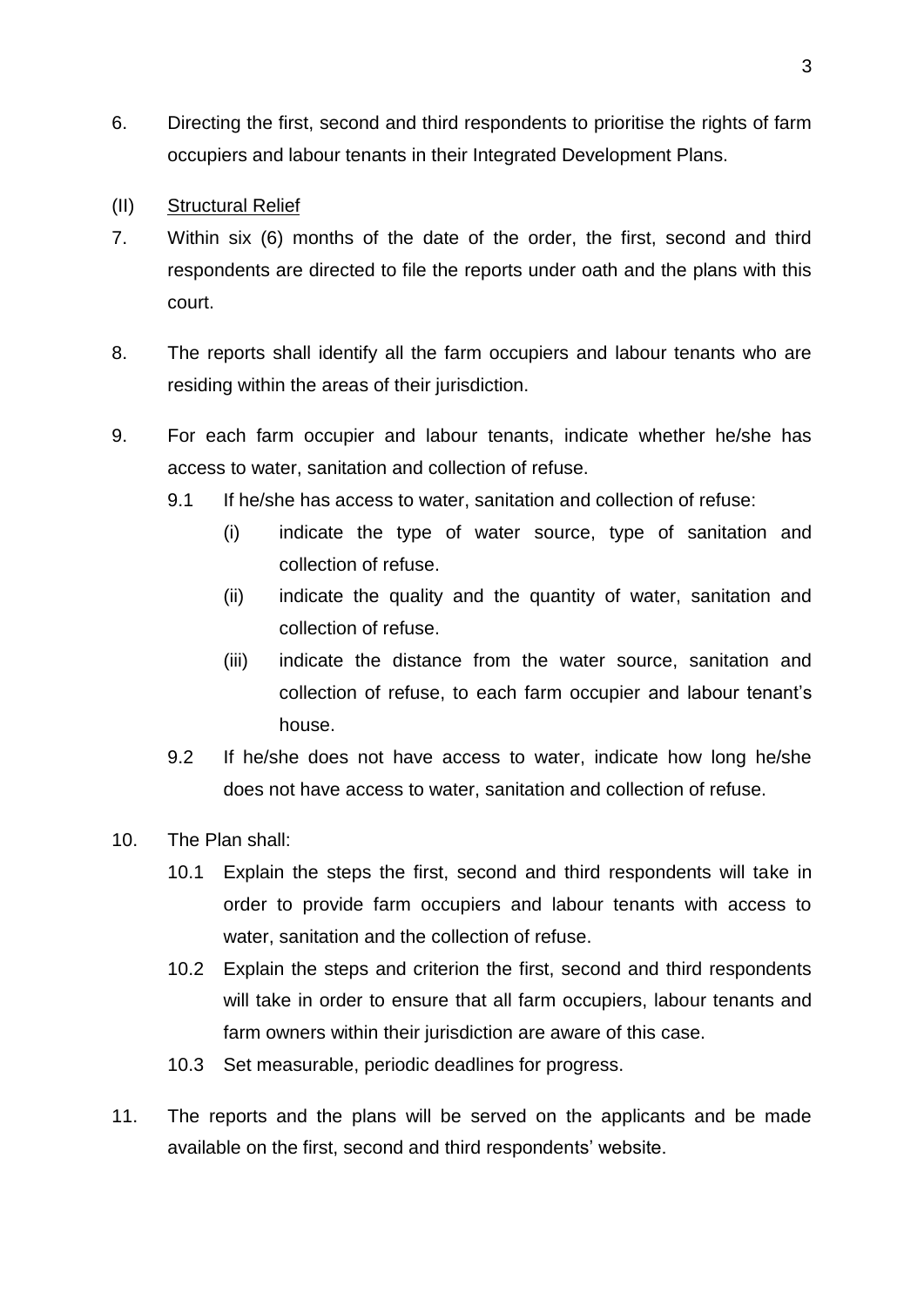- 6. Directing the first, second and third respondents to prioritise the rights of farm occupiers and labour tenants in their Integrated Development Plans.
- (II) Structural Relief
- 7. Within six (6) months of the date of the order, the first, second and third respondents are directed to file the reports under oath and the plans with this court.
- 8. The reports shall identify all the farm occupiers and labour tenants who are residing within the areas of their jurisdiction.
- 9. For each farm occupier and labour tenants, indicate whether he/she has access to water, sanitation and collection of refuse.
	- 9.1 If he/she has access to water, sanitation and collection of refuse:
		- (i) indicate the type of water source, type of sanitation and collection of refuse.
		- (ii) indicate the quality and the quantity of water, sanitation and collection of refuse.
		- (iii) indicate the distance from the water source, sanitation and collection of refuse, to each farm occupier and labour tenant's house.
	- 9.2 If he/she does not have access to water, indicate how long he/she does not have access to water, sanitation and collection of refuse.
- 10. The Plan shall:
	- 10.1 Explain the steps the first, second and third respondents will take in order to provide farm occupiers and labour tenants with access to water, sanitation and the collection of refuse.
	- 10.2 Explain the steps and criterion the first, second and third respondents will take in order to ensure that all farm occupiers, labour tenants and farm owners within their jurisdiction are aware of this case.
	- 10.3 Set measurable, periodic deadlines for progress.
- 11. The reports and the plans will be served on the applicants and be made available on the first, second and third respondents' website.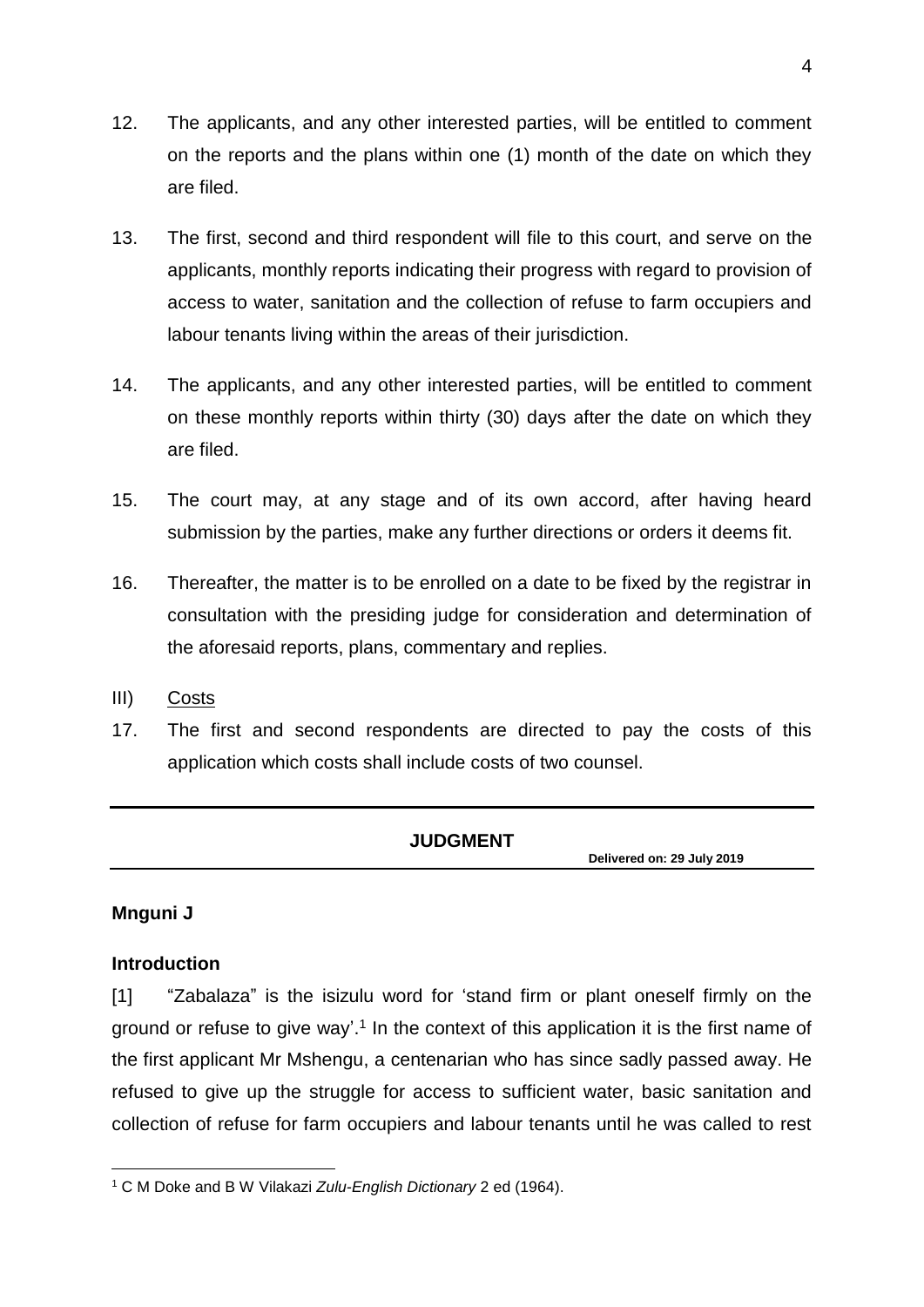- 12. The applicants, and any other interested parties, will be entitled to comment on the reports and the plans within one (1) month of the date on which they are filed.
- 13. The first, second and third respondent will file to this court, and serve on the applicants, monthly reports indicating their progress with regard to provision of access to water, sanitation and the collection of refuse to farm occupiers and labour tenants living within the areas of their jurisdiction.
- 14. The applicants, and any other interested parties, will be entitled to comment on these monthly reports within thirty (30) days after the date on which they are filed.
- 15. The court may, at any stage and of its own accord, after having heard submission by the parties, make any further directions or orders it deems fit.
- 16. Thereafter, the matter is to be enrolled on a date to be fixed by the registrar in consultation with the presiding judge for consideration and determination of the aforesaid reports, plans, commentary and replies.
- III) Costs
- 17. The first and second respondents are directed to pay the costs of this application which costs shall include costs of two counsel.

## **JUDGMENT**

 **Delivered on: 29 July <sup>2019</sup>**

## **Mnguni J**

## **Introduction**

[1] "Zabalaza" is the isizulu word for 'stand firm or plant oneself firmly on the ground or refuse to give way'.<sup>1</sup> In the context of this application it is the first name of the first applicant Mr Mshengu, a centenarian who has since sadly passed away. He refused to give up the struggle for access to sufficient water, basic sanitation and collection of refuse for farm occupiers and labour tenants until he was called to rest

<sup>1</sup> <sup>1</sup> C M Doke and B W Vilakazi *Zulu-English Dictionary* 2 ed (1964).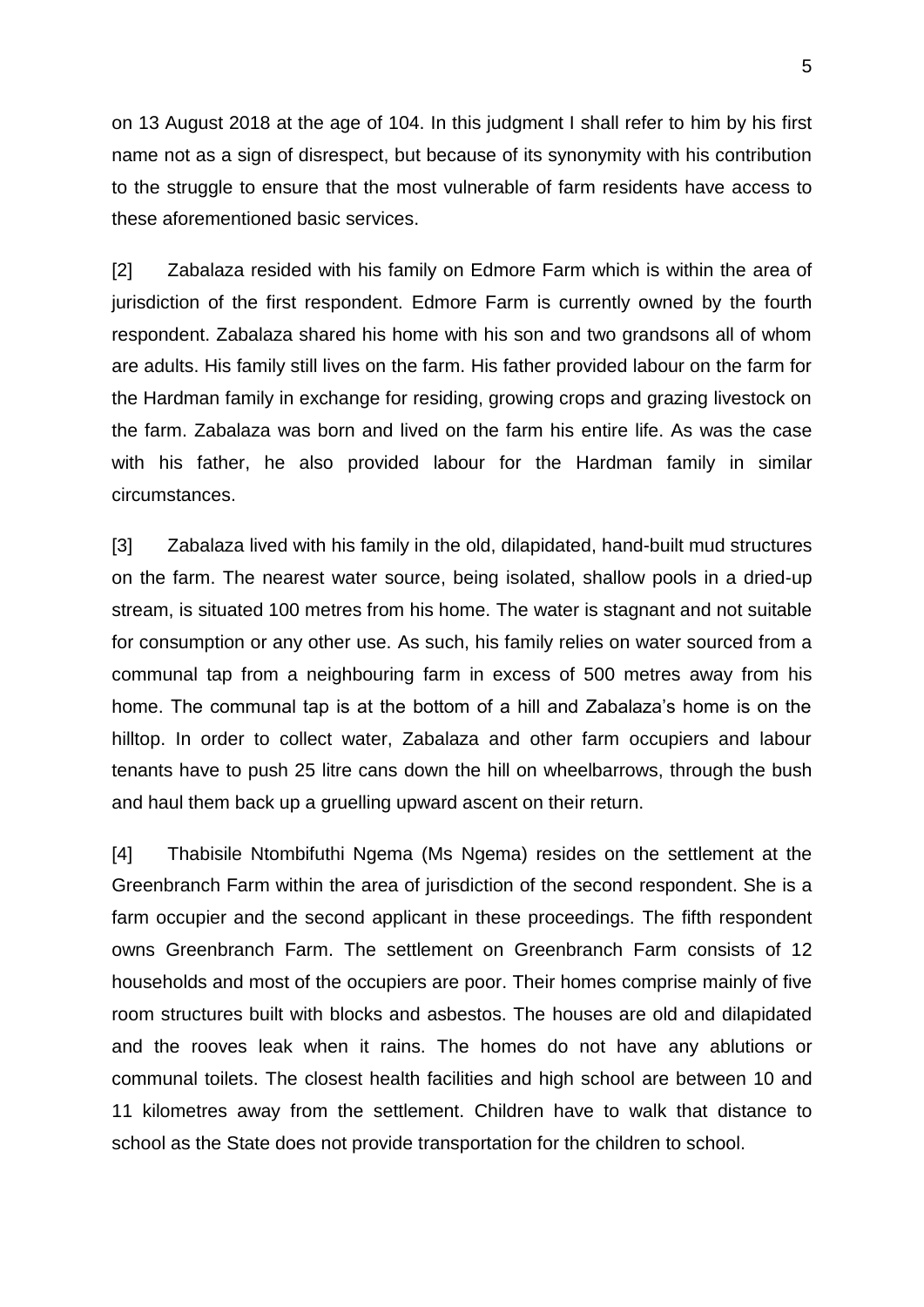on 13 August 2018 at the age of 104. In this judgment I shall refer to him by his first name not as a sign of disrespect, but because of its synonymity with his contribution to the struggle to ensure that the most vulnerable of farm residents have access to these aforementioned basic services.

[2] Zabalaza resided with his family on Edmore Farm which is within the area of jurisdiction of the first respondent. Edmore Farm is currently owned by the fourth respondent. Zabalaza shared his home with his son and two grandsons all of whom are adults. His family still lives on the farm. His father provided labour on the farm for the Hardman family in exchange for residing, growing crops and grazing livestock on the farm. Zabalaza was born and lived on the farm his entire life. As was the case with his father, he also provided labour for the Hardman family in similar circumstances.

[3] Zabalaza lived with his family in the old, dilapidated, hand-built mud structures on the farm. The nearest water source, being isolated, shallow pools in a dried-up stream, is situated 100 metres from his home. The water is stagnant and not suitable for consumption or any other use. As such, his family relies on water sourced from a communal tap from a neighbouring farm in excess of 500 metres away from his home. The communal tap is at the bottom of a hill and Zabalaza's home is on the hilltop. In order to collect water, Zabalaza and other farm occupiers and labour tenants have to push 25 litre cans down the hill on wheelbarrows, through the bush and haul them back up a gruelling upward ascent on their return.

[4] Thabisile Ntombifuthi Ngema (Ms Ngema) resides on the settlement at the Greenbranch Farm within the area of jurisdiction of the second respondent. She is a farm occupier and the second applicant in these proceedings. The fifth respondent owns Greenbranch Farm. The settlement on Greenbranch Farm consists of 12 households and most of the occupiers are poor. Their homes comprise mainly of five room structures built with blocks and asbestos. The houses are old and dilapidated and the rooves leak when it rains. The homes do not have any ablutions or communal toilets. The closest health facilities and high school are between 10 and 11 kilometres away from the settlement. Children have to walk that distance to school as the State does not provide transportation for the children to school.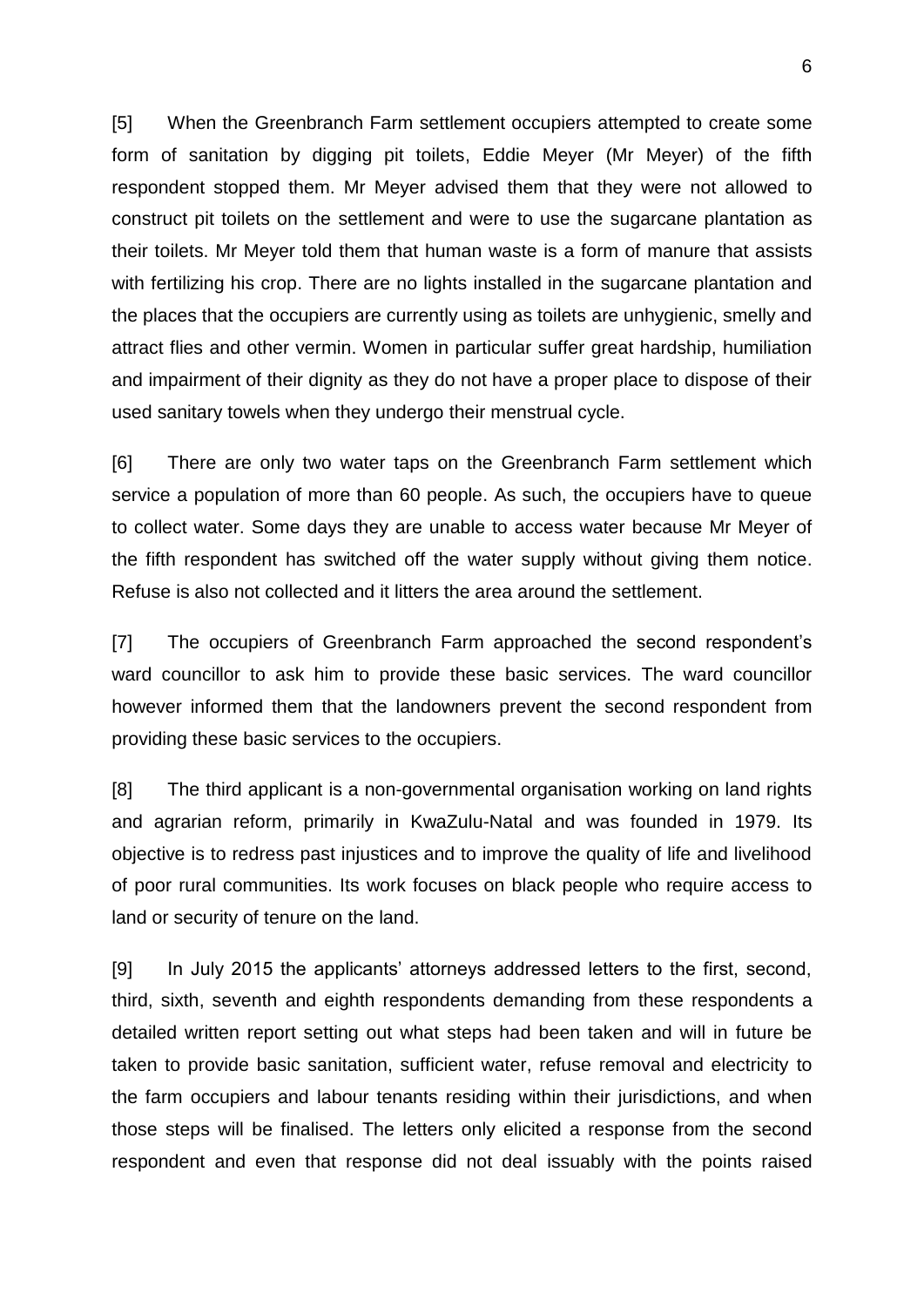[5] When the Greenbranch Farm settlement occupiers attempted to create some form of sanitation by digging pit toilets, Eddie Meyer (Mr Meyer) of the fifth respondent stopped them. Mr Meyer advised them that they were not allowed to construct pit toilets on the settlement and were to use the sugarcane plantation as their toilets. Mr Meyer told them that human waste is a form of manure that assists with fertilizing his crop. There are no lights installed in the sugarcane plantation and the places that the occupiers are currently using as toilets are unhygienic, smelly and attract flies and other vermin. Women in particular suffer great hardship, humiliation and impairment of their dignity as they do not have a proper place to dispose of their used sanitary towels when they undergo their menstrual cycle.

[6] There are only two water taps on the Greenbranch Farm settlement which service a population of more than 60 people. As such, the occupiers have to queue to collect water. Some days they are unable to access water because Mr Meyer of the fifth respondent has switched off the water supply without giving them notice. Refuse is also not collected and it litters the area around the settlement.

[7] The occupiers of Greenbranch Farm approached the second respondent's ward councillor to ask him to provide these basic services. The ward councillor however informed them that the landowners prevent the second respondent from providing these basic services to the occupiers.

[8] The third applicant is a non-governmental organisation working on land rights and agrarian reform, primarily in KwaZulu-Natal and was founded in 1979. Its objective is to redress past injustices and to improve the quality of life and livelihood of poor rural communities. Its work focuses on black people who require access to land or security of tenure on the land.

[9] In July 2015 the applicants' attorneys addressed letters to the first, second, third, sixth, seventh and eighth respondents demanding from these respondents a detailed written report setting out what steps had been taken and will in future be taken to provide basic sanitation, sufficient water, refuse removal and electricity to the farm occupiers and labour tenants residing within their jurisdictions, and when those steps will be finalised. The letters only elicited a response from the second respondent and even that response did not deal issuably with the points raised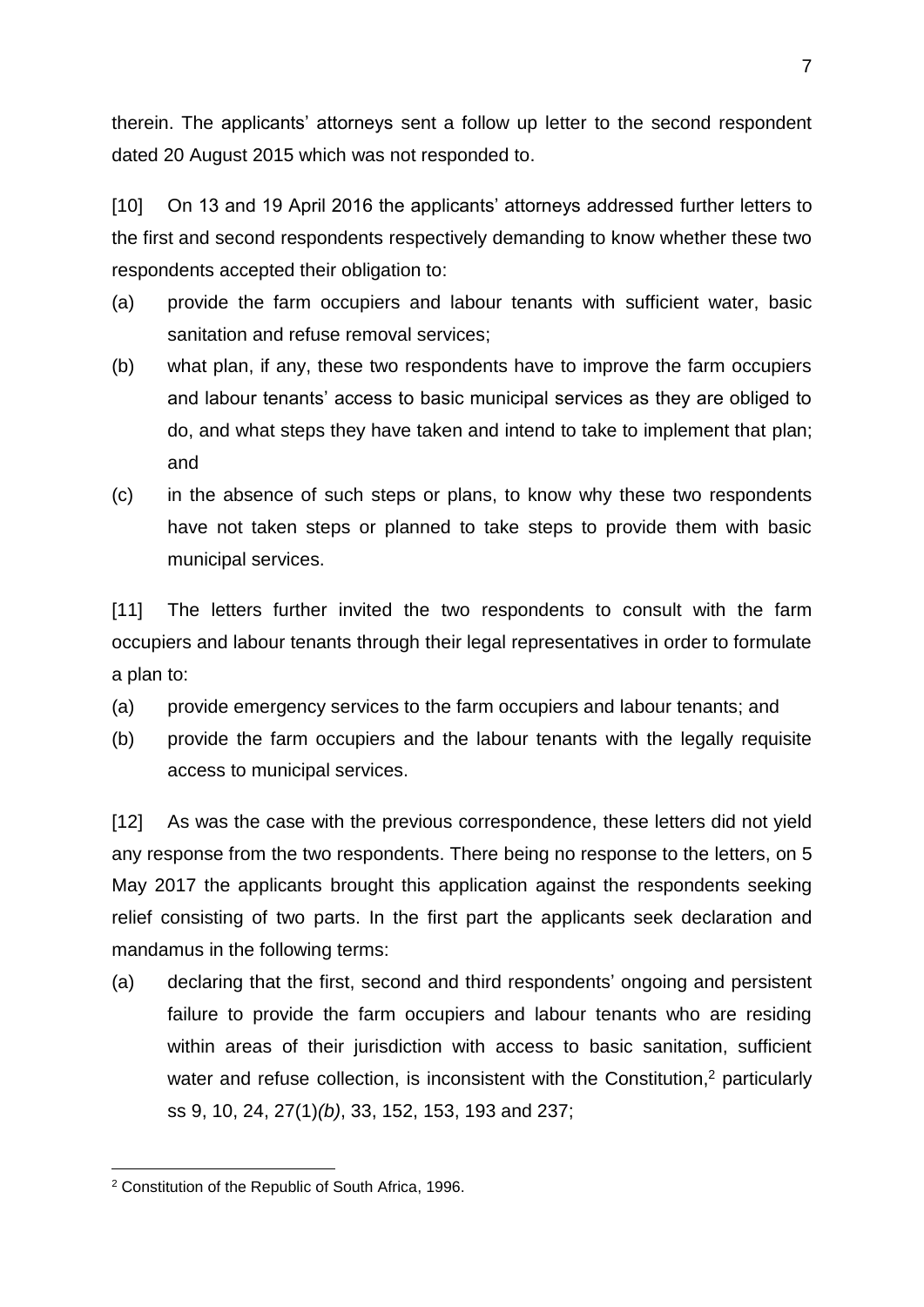therein. The applicants' attorneys sent a follow up letter to the second respondent dated 20 August 2015 which was not responded to.

[10] On 13 and 19 April 2016 the applicants' attorneys addressed further letters to the first and second respondents respectively demanding to know whether these two respondents accepted their obligation to:

- (a) provide the farm occupiers and labour tenants with sufficient water, basic sanitation and refuse removal services;
- (b) what plan, if any, these two respondents have to improve the farm occupiers and labour tenants' access to basic municipal services as they are obliged to do, and what steps they have taken and intend to take to implement that plan; and
- (c) in the absence of such steps or plans, to know why these two respondents have not taken steps or planned to take steps to provide them with basic municipal services.

[11] The letters further invited the two respondents to consult with the farm occupiers and labour tenants through their legal representatives in order to formulate a plan to:

- (a) provide emergency services to the farm occupiers and labour tenants; and
- (b) provide the farm occupiers and the labour tenants with the legally requisite access to municipal services.

[12] As was the case with the previous correspondence, these letters did not yield any response from the two respondents. There being no response to the letters, on 5 May 2017 the applicants brought this application against the respondents seeking relief consisting of two parts. In the first part the applicants seek declaration and mandamus in the following terms:

(a) declaring that the first, second and third respondents' ongoing and persistent failure to provide the farm occupiers and labour tenants who are residing within areas of their jurisdiction with access to basic sanitation, sufficient water and refuse collection, is inconsistent with the Constitution,<sup>2</sup> particularly ss 9, 10, 24, 27(1)*(b)*, 33, 152, 153, 193 and 237;

1

<sup>2</sup> Constitution of the Republic of South Africa, 1996.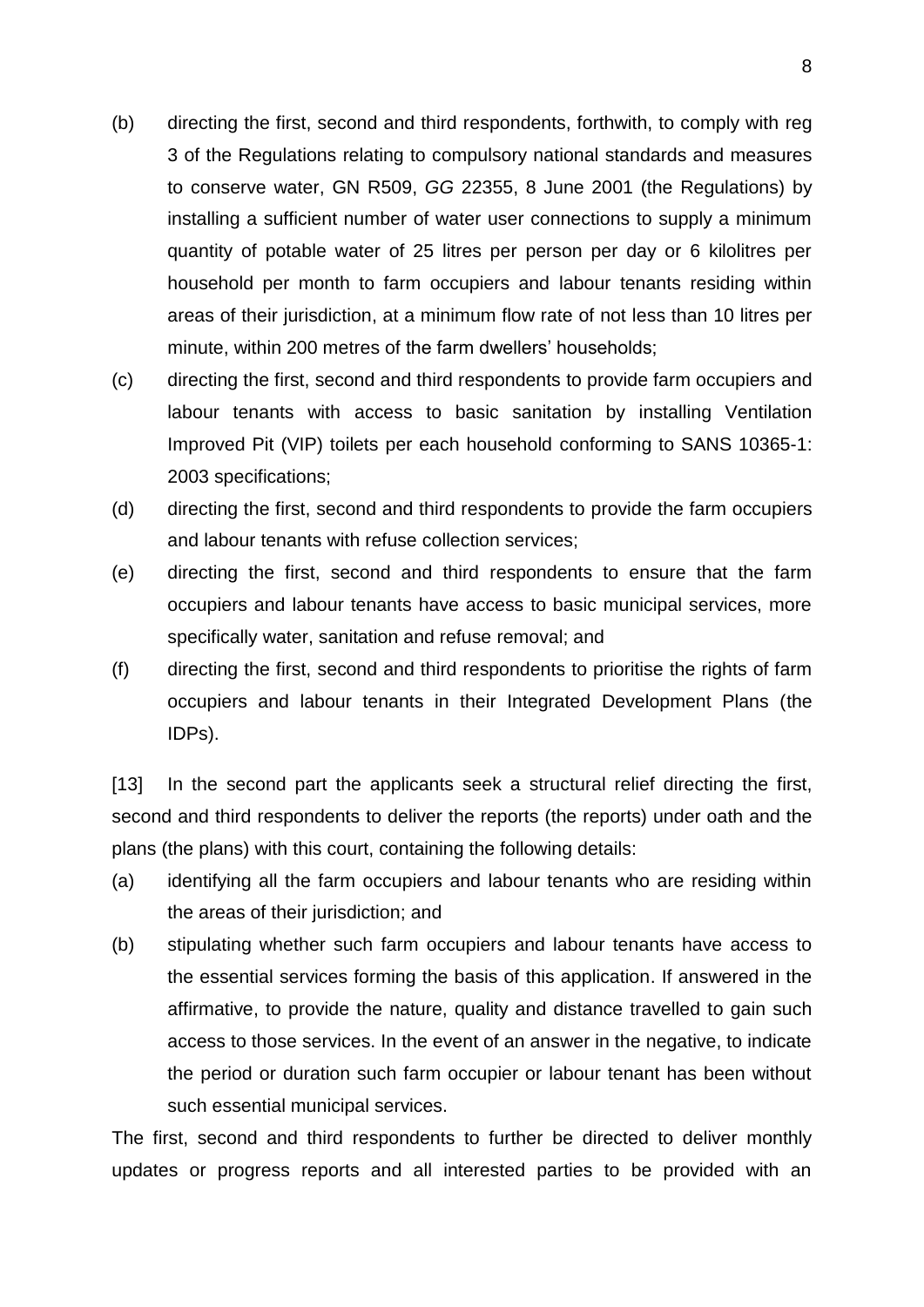- (b) directing the first, second and third respondents, forthwith, to comply with reg 3 of the Regulations relating to compulsory national standards and measures to conserve water, GN R509, *GG* 22355, 8 June 2001 (the Regulations) by installing a sufficient number of water user connections to supply a minimum quantity of potable water of 25 litres per person per day or 6 kilolitres per household per month to farm occupiers and labour tenants residing within areas of their jurisdiction, at a minimum flow rate of not less than 10 litres per minute, within 200 metres of the farm dwellers' households;
- (c) directing the first, second and third respondents to provide farm occupiers and labour tenants with access to basic sanitation by installing Ventilation Improved Pit (VIP) toilets per each household conforming to SANS 10365-1: 2003 specifications;
- (d) directing the first, second and third respondents to provide the farm occupiers and labour tenants with refuse collection services;
- (e) directing the first, second and third respondents to ensure that the farm occupiers and labour tenants have access to basic municipal services, more specifically water, sanitation and refuse removal; and
- (f) directing the first, second and third respondents to prioritise the rights of farm occupiers and labour tenants in their Integrated Development Plans (the IDPs).

[13] In the second part the applicants seek a structural relief directing the first, second and third respondents to deliver the reports (the reports) under oath and the plans (the plans) with this court, containing the following details:

- (a) identifying all the farm occupiers and labour tenants who are residing within the areas of their jurisdiction; and
- (b) stipulating whether such farm occupiers and labour tenants have access to the essential services forming the basis of this application. If answered in the affirmative, to provide the nature, quality and distance travelled to gain such access to those services. In the event of an answer in the negative, to indicate the period or duration such farm occupier or labour tenant has been without such essential municipal services.

The first, second and third respondents to further be directed to deliver monthly updates or progress reports and all interested parties to be provided with an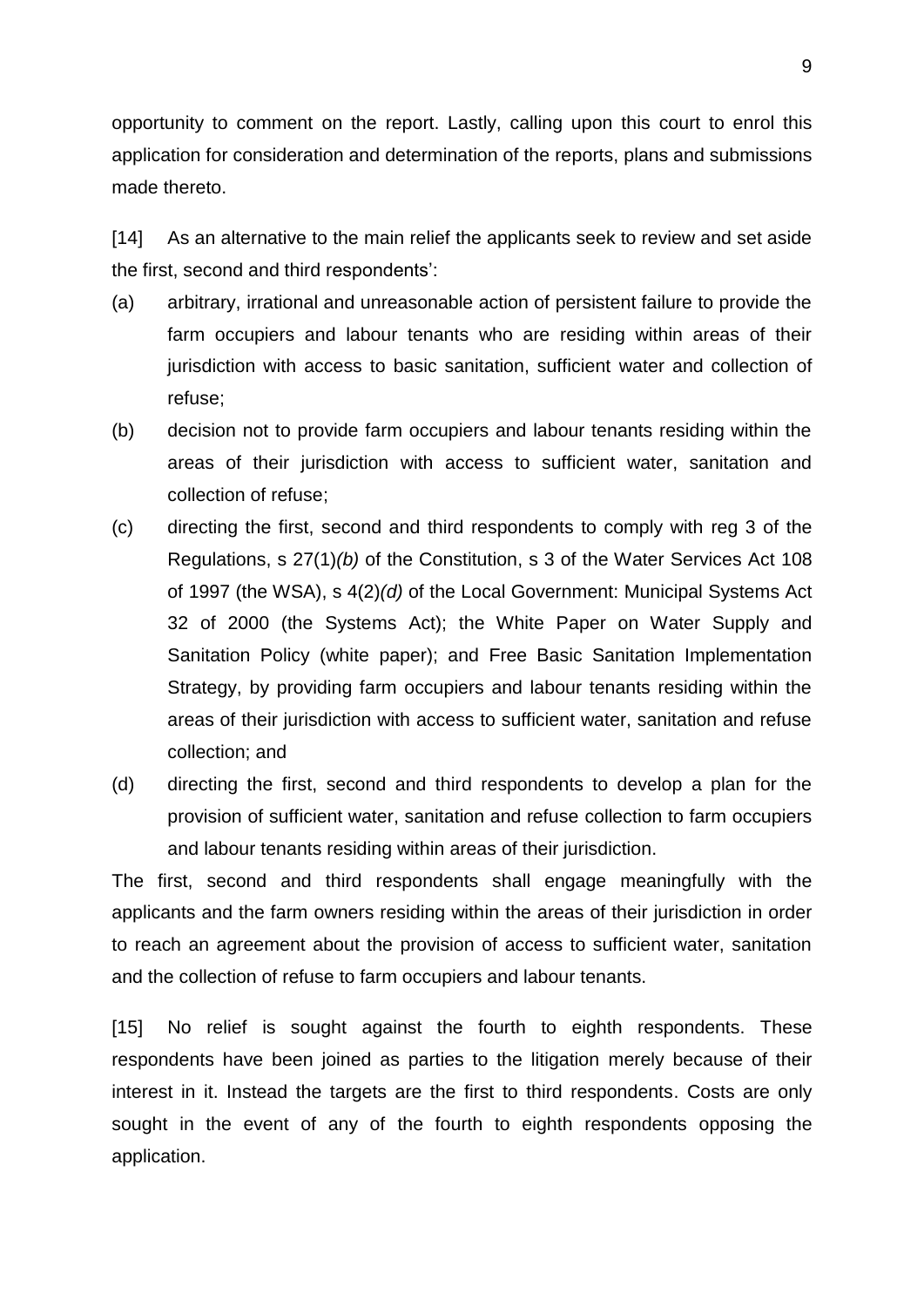opportunity to comment on the report. Lastly, calling upon this court to enrol this application for consideration and determination of the reports, plans and submissions made thereto.

[14] As an alternative to the main relief the applicants seek to review and set aside the first, second and third respondents':

- (a) arbitrary, irrational and unreasonable action of persistent failure to provide the farm occupiers and labour tenants who are residing within areas of their jurisdiction with access to basic sanitation, sufficient water and collection of refuse;
- (b) decision not to provide farm occupiers and labour tenants residing within the areas of their jurisdiction with access to sufficient water, sanitation and collection of refuse;
- (c) directing the first, second and third respondents to comply with reg 3 of the Regulations, s 27(1)*(b)* of the Constitution, s 3 of the Water Services Act 108 of 1997 (the WSA), s 4(2)*(d)* of the Local Government: Municipal Systems Act 32 of 2000 (the Systems Act); the White Paper on Water Supply and Sanitation Policy (white paper); and Free Basic Sanitation Implementation Strategy, by providing farm occupiers and labour tenants residing within the areas of their jurisdiction with access to sufficient water, sanitation and refuse collection; and
- (d) directing the first, second and third respondents to develop a plan for the provision of sufficient water, sanitation and refuse collection to farm occupiers and labour tenants residing within areas of their jurisdiction.

The first, second and third respondents shall engage meaningfully with the applicants and the farm owners residing within the areas of their jurisdiction in order to reach an agreement about the provision of access to sufficient water, sanitation and the collection of refuse to farm occupiers and labour tenants.

[15] No relief is sought against the fourth to eighth respondents. These respondents have been joined as parties to the litigation merely because of their interest in it. Instead the targets are the first to third respondents. Costs are only sought in the event of any of the fourth to eighth respondents opposing the application.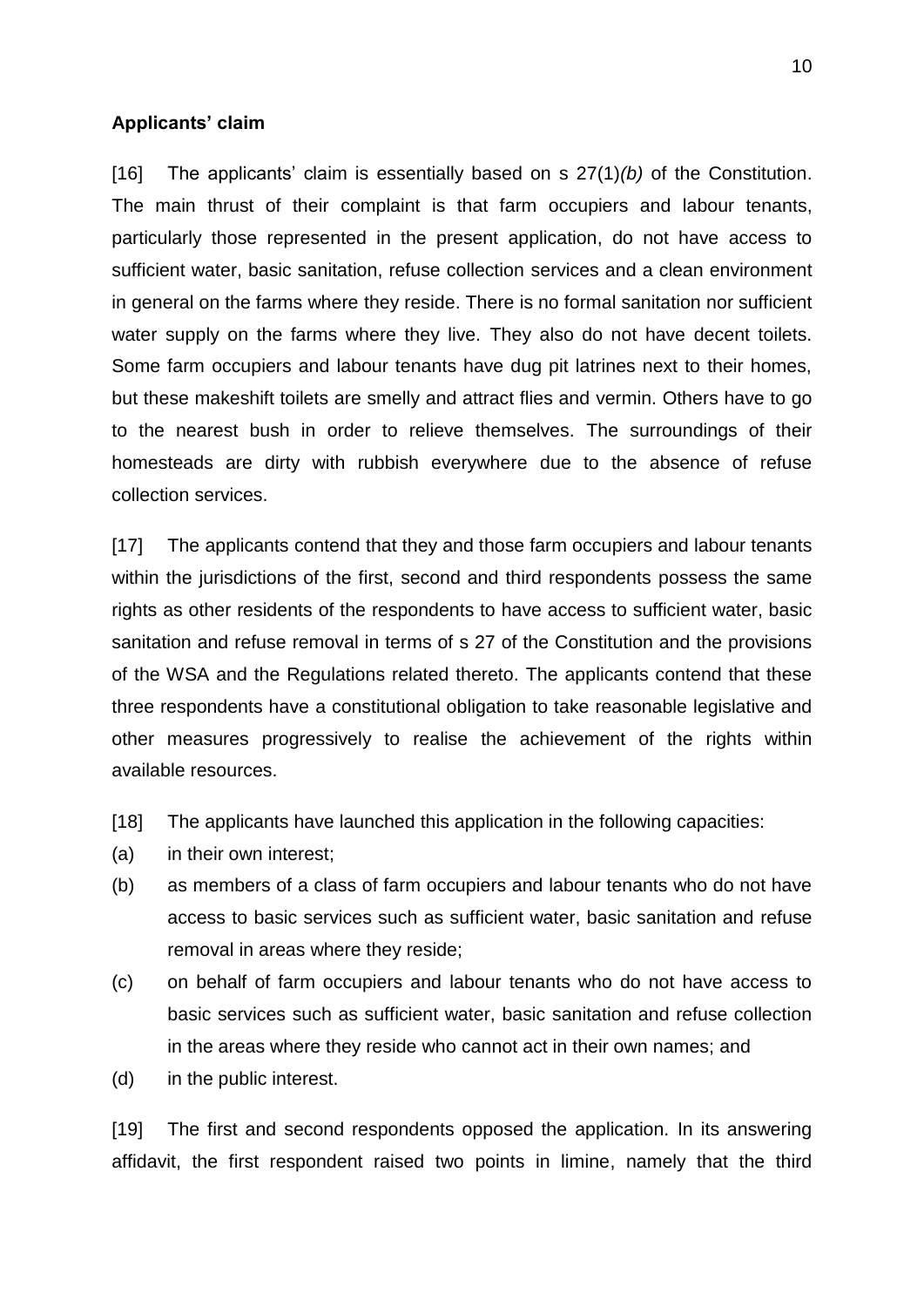#### **Applicants' claim**

[16] The applicants' claim is essentially based on s 27(1)*(b)* of the Constitution. The main thrust of their complaint is that farm occupiers and labour tenants, particularly those represented in the present application, do not have access to sufficient water, basic sanitation, refuse collection services and a clean environment in general on the farms where they reside. There is no formal sanitation nor sufficient water supply on the farms where they live. They also do not have decent toilets. Some farm occupiers and labour tenants have dug pit latrines next to their homes, but these makeshift toilets are smelly and attract flies and vermin. Others have to go to the nearest bush in order to relieve themselves. The surroundings of their homesteads are dirty with rubbish everywhere due to the absence of refuse collection services.

[17] The applicants contend that they and those farm occupiers and labour tenants within the jurisdictions of the first, second and third respondents possess the same rights as other residents of the respondents to have access to sufficient water, basic sanitation and refuse removal in terms of s 27 of the Constitution and the provisions of the WSA and the Regulations related thereto. The applicants contend that these three respondents have a constitutional obligation to take reasonable legislative and other measures progressively to realise the achievement of the rights within available resources.

- [18] The applicants have launched this application in the following capacities:
- (a) in their own interest;
- (b) as members of a class of farm occupiers and labour tenants who do not have access to basic services such as sufficient water, basic sanitation and refuse removal in areas where they reside;
- (c) on behalf of farm occupiers and labour tenants who do not have access to basic services such as sufficient water, basic sanitation and refuse collection in the areas where they reside who cannot act in their own names; and
- (d) in the public interest.

[19] The first and second respondents opposed the application. In its answering affidavit, the first respondent raised two points in limine, namely that the third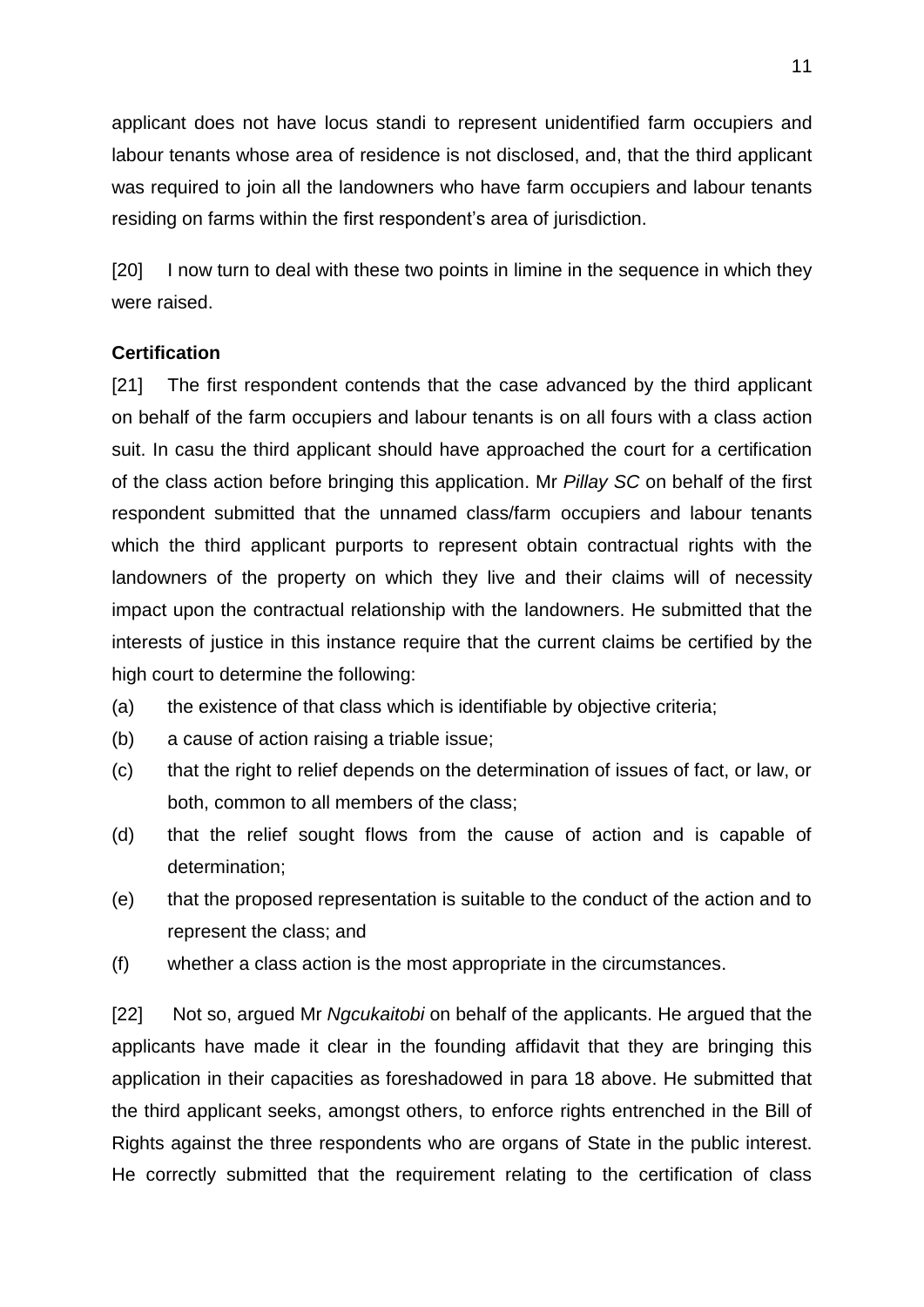applicant does not have locus standi to represent unidentified farm occupiers and labour tenants whose area of residence is not disclosed, and, that the third applicant was required to join all the landowners who have farm occupiers and labour tenants residing on farms within the first respondent's area of jurisdiction.

[20] I now turn to deal with these two points in limine in the sequence in which they were raised.

## **Certification**

[21] The first respondent contends that the case advanced by the third applicant on behalf of the farm occupiers and labour tenants is on all fours with a class action suit. In casu the third applicant should have approached the court for a certification of the class action before bringing this application. Mr *Pillay SC* on behalf of the first respondent submitted that the unnamed class/farm occupiers and labour tenants which the third applicant purports to represent obtain contractual rights with the landowners of the property on which they live and their claims will of necessity impact upon the contractual relationship with the landowners. He submitted that the interests of justice in this instance require that the current claims be certified by the high court to determine the following:

- (a) the existence of that class which is identifiable by objective criteria;
- (b) a cause of action raising a triable issue;
- (c) that the right to relief depends on the determination of issues of fact, or law, or both, common to all members of the class;
- (d) that the relief sought flows from the cause of action and is capable of determination;
- (e) that the proposed representation is suitable to the conduct of the action and to represent the class; and
- (f) whether a class action is the most appropriate in the circumstances.

[22] Not so, argued Mr *Ngcukaitobi* on behalf of the applicants. He argued that the applicants have made it clear in the founding affidavit that they are bringing this application in their capacities as foreshadowed in para 18 above. He submitted that the third applicant seeks, amongst others, to enforce rights entrenched in the Bill of Rights against the three respondents who are organs of State in the public interest. He correctly submitted that the requirement relating to the certification of class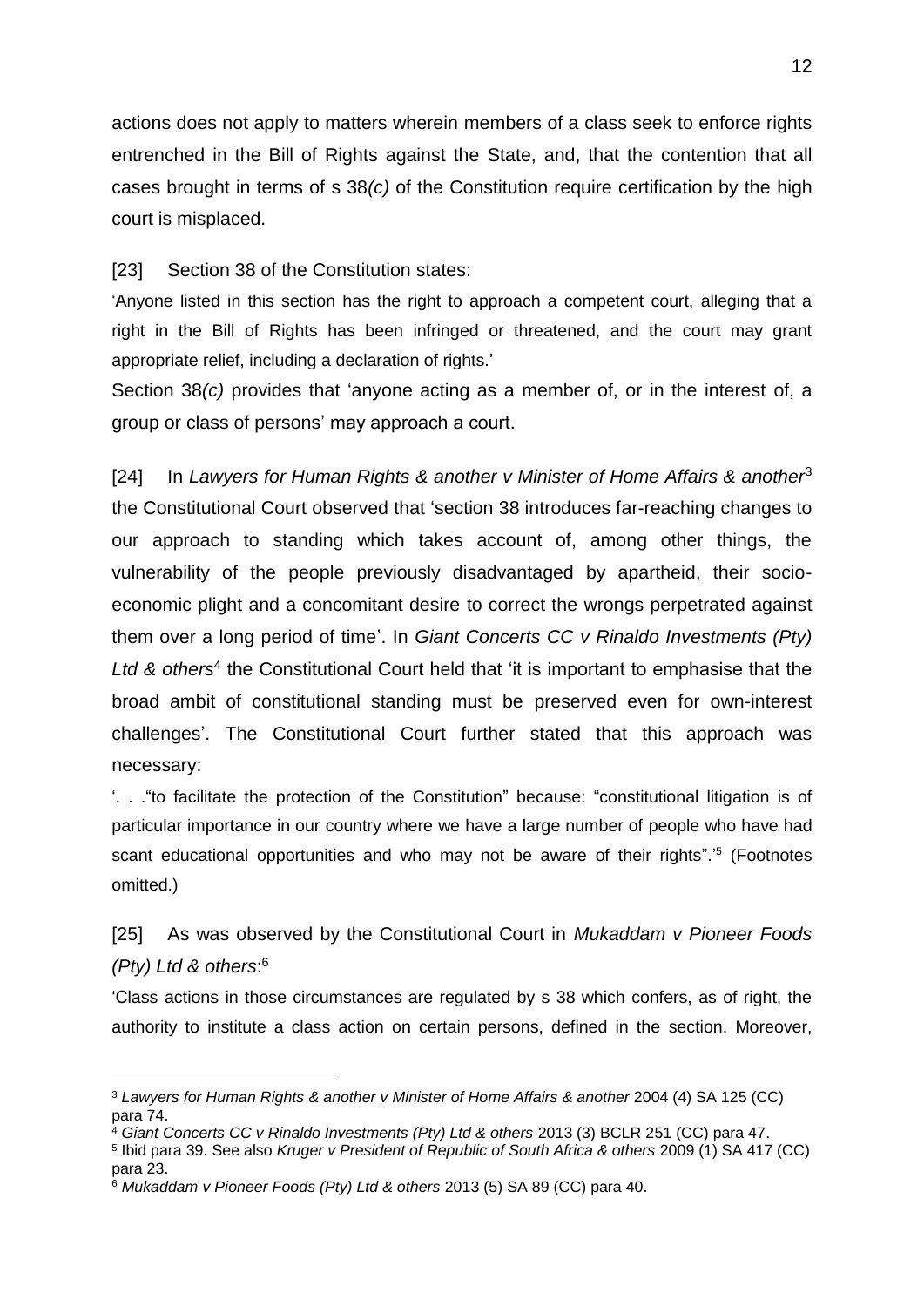actions does not apply to matters wherein members of a class seek to enforce rights entrenched in the Bill of Rights against the State, and, that the contention that all cases brought in terms of s 38*(c)* of the Constitution require certification by the high court is misplaced.

[23] Section 38 of the Constitution states:

'Anyone listed in this section has the right to approach a competent court, alleging that a right in the Bill of Rights has been infringed or threatened, and the court may grant appropriate relief, including a declaration of rights.'

Section 38*(c)* provides that 'anyone acting as a member of, or in the interest of, a group or class of persons' may approach a court.

[24] In *Lawyers for Human Rights & another v Minister of Home Affairs & another*<sup>3</sup> the Constitutional Court observed that 'section 38 introduces far-reaching changes to our approach to standing which takes account of, among other things, the vulnerability of the people previously disadvantaged by apartheid, their socioeconomic plight and a concomitant desire to correct the wrongs perpetrated against them over a long period of time'. In *Giant Concerts CC v Rinaldo Investments (Pty)*  Ltd & others<sup>4</sup> the Constitutional Court held that 'it is important to emphasise that the broad ambit of constitutional standing must be preserved even for own-interest challenges'. The Constitutional Court further stated that this approach was necessary:

'. . ."to facilitate the protection of the Constitution" because: "constitutional litigation is of particular importance in our country where we have a large number of people who have had scant educational opportunities and who may not be aware of their rights".<sup>15</sup> (Footnotes omitted.)

[25] As was observed by the Constitutional Court in *Mukaddam v Pioneer Foods (Pty) Ltd & others*: 6

'Class actions in those circumstances are regulated by s 38 which confers, as of right, the authority to institute a class action on certain persons, defined in the section. Moreover,

1

<sup>3</sup> *Lawyers for Human Rights & another v Minister of Home Affairs & another* 2004 (4) SA 125 (CC) para 74.

<sup>4</sup> *Giant Concerts CC v Rinaldo Investments (Pty) Ltd & others* 2013 (3) BCLR 251 (CC) para 47.

<sup>5</sup> Ibid para 39. See also *Kruger v President of Republic of South Africa & others* 2009 (1) SA 417 (CC) para 23.

<sup>6</sup> *Mukaddam v Pioneer Foods (Pty) Ltd & others* 2013 (5) SA 89 (CC) para 40.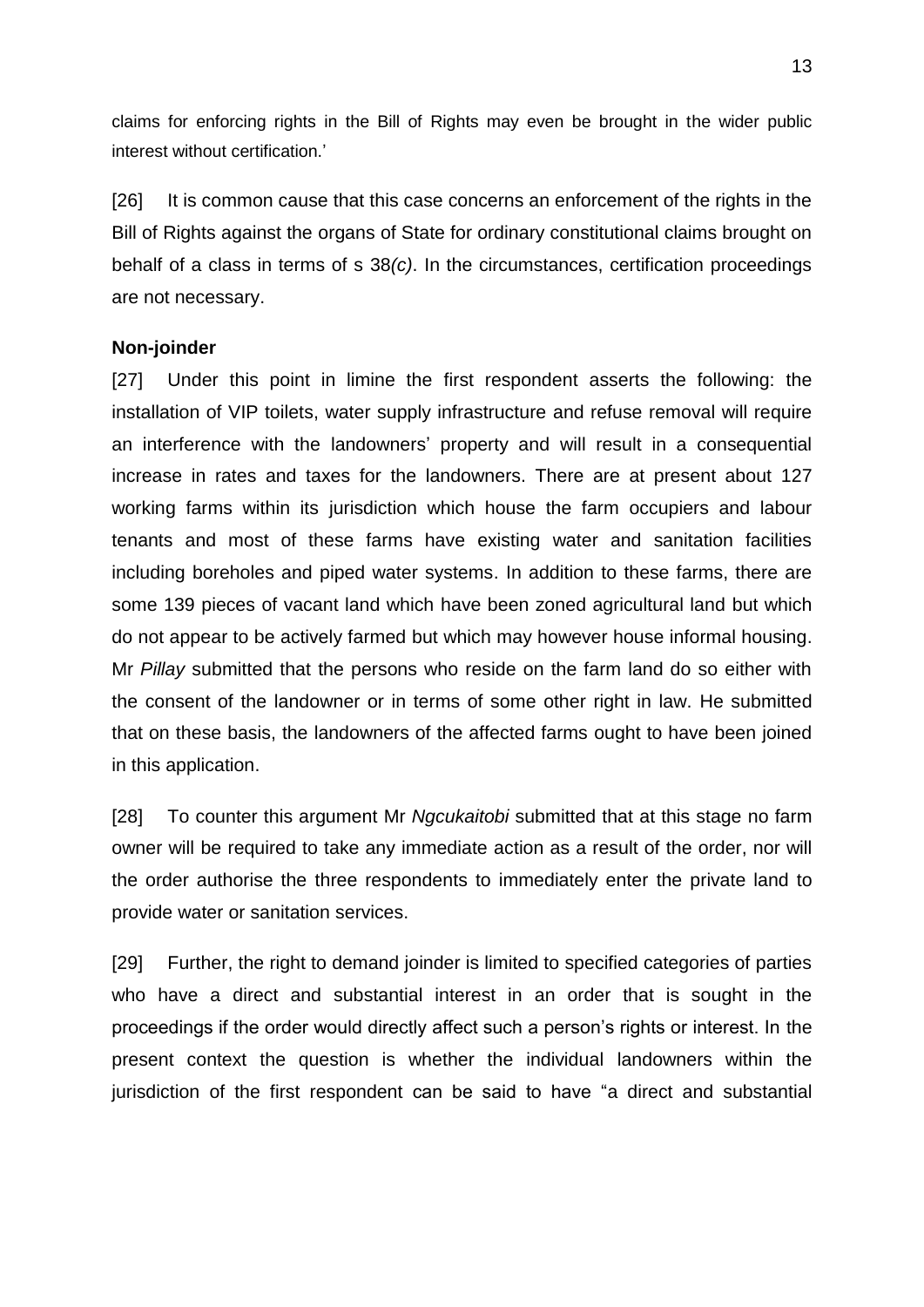claims for enforcing rights in the Bill of Rights may even be brought in the wider public interest without certification.'

[26] It is common cause that this case concerns an enforcement of the rights in the Bill of Rights against the organs of State for ordinary constitutional claims brought on behalf of a class in terms of s 38*(c)*. In the circumstances, certification proceedings are not necessary.

## **Non-joinder**

[27] Under this point in limine the first respondent asserts the following: the installation of VIP toilets, water supply infrastructure and refuse removal will require an interference with the landowners' property and will result in a consequential increase in rates and taxes for the landowners. There are at present about 127 working farms within its jurisdiction which house the farm occupiers and labour tenants and most of these farms have existing water and sanitation facilities including boreholes and piped water systems. In addition to these farms, there are some 139 pieces of vacant land which have been zoned agricultural land but which do not appear to be actively farmed but which may however house informal housing. Mr *Pillay* submitted that the persons who reside on the farm land do so either with the consent of the landowner or in terms of some other right in law. He submitted that on these basis, the landowners of the affected farms ought to have been joined in this application.

[28] To counter this argument Mr *Ngcukaitobi* submitted that at this stage no farm owner will be required to take any immediate action as a result of the order, nor will the order authorise the three respondents to immediately enter the private land to provide water or sanitation services.

[29] Further, the right to demand joinder is limited to specified categories of parties who have a direct and substantial interest in an order that is sought in the proceedings if the order would directly affect such a person's rights or interest. In the present context the question is whether the individual landowners within the jurisdiction of the first respondent can be said to have "a direct and substantial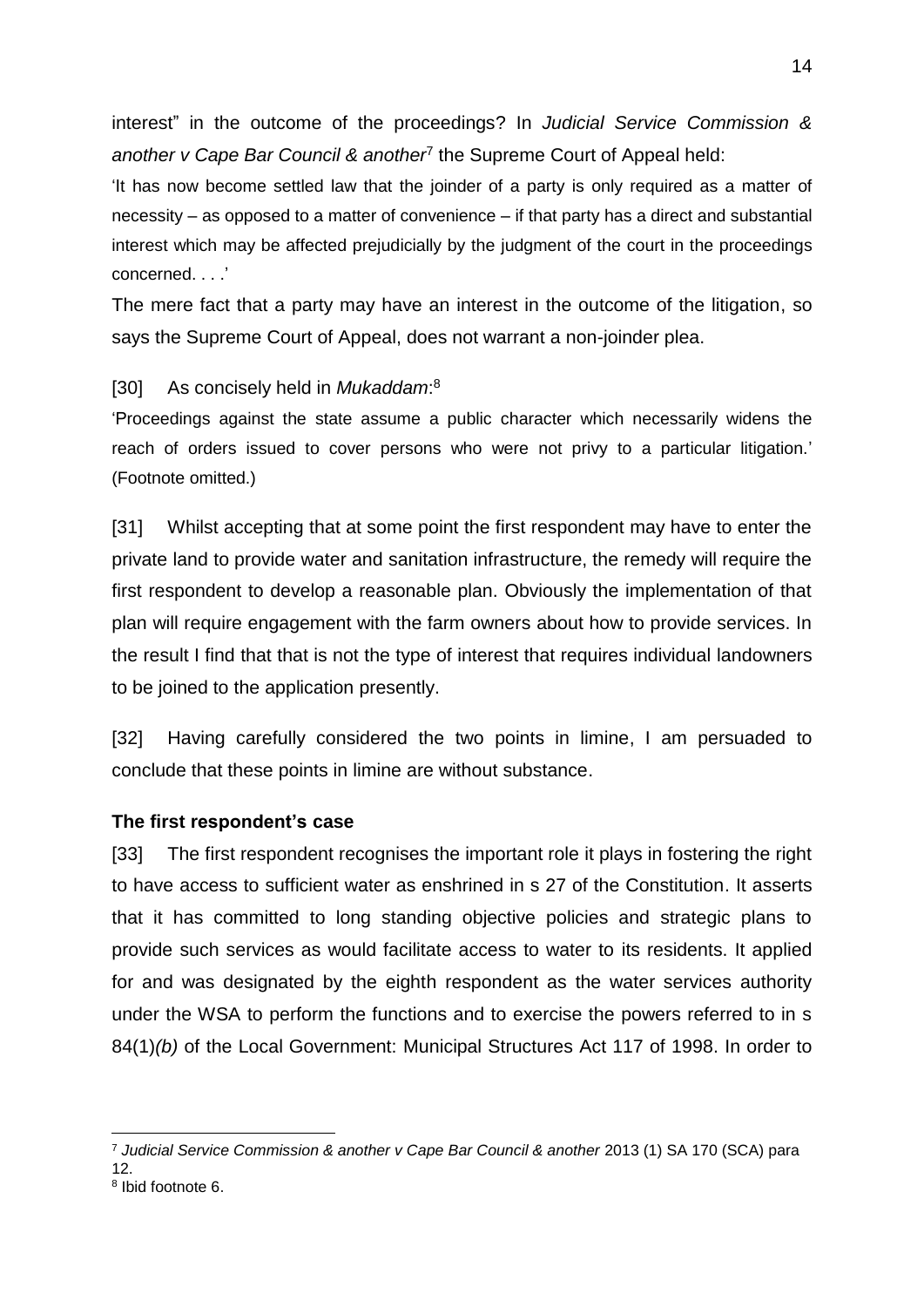interest" in the outcome of the proceedings? In *Judicial Service Commission &*  another v Cape Bar Council & another<sup>7</sup> the Supreme Court of Appeal held:

'It has now become settled law that the joinder of a party is only required as a matter of necessity – as opposed to a matter of convenience – if that party has a direct and substantial interest which may be affected prejudicially by the judgment of the court in the proceedings concerned. . . .'

The mere fact that a party may have an interest in the outcome of the litigation, so says the Supreme Court of Appeal, does not warrant a non-joinder plea.

# [30] As concisely held in *Mukaddam*: 8

'Proceedings against the state assume a public character which necessarily widens the reach of orders issued to cover persons who were not privy to a particular litigation.' (Footnote omitted.)

[31] Whilst accepting that at some point the first respondent may have to enter the private land to provide water and sanitation infrastructure, the remedy will require the first respondent to develop a reasonable plan. Obviously the implementation of that plan will require engagement with the farm owners about how to provide services. In the result I find that that is not the type of interest that requires individual landowners to be joined to the application presently.

[32] Having carefully considered the two points in limine, I am persuaded to conclude that these points in limine are without substance.

## **The first respondent's case**

[33] The first respondent recognises the important role it plays in fostering the right to have access to sufficient water as enshrined in s 27 of the Constitution. It asserts that it has committed to long standing objective policies and strategic plans to provide such services as would facilitate access to water to its residents. It applied for and was designated by the eighth respondent as the water services authority under the WSA to perform the functions and to exercise the powers referred to in s 84(1)*(b)* of the Local Government: Municipal Structures Act 117 of 1998. In order to

<u>.</u>

<sup>7</sup> *Judicial Service Commission & another v Cape Bar Council & another* 2013 (1) SA 170 (SCA) para 12.

<sup>8</sup> Ibid footnote 6.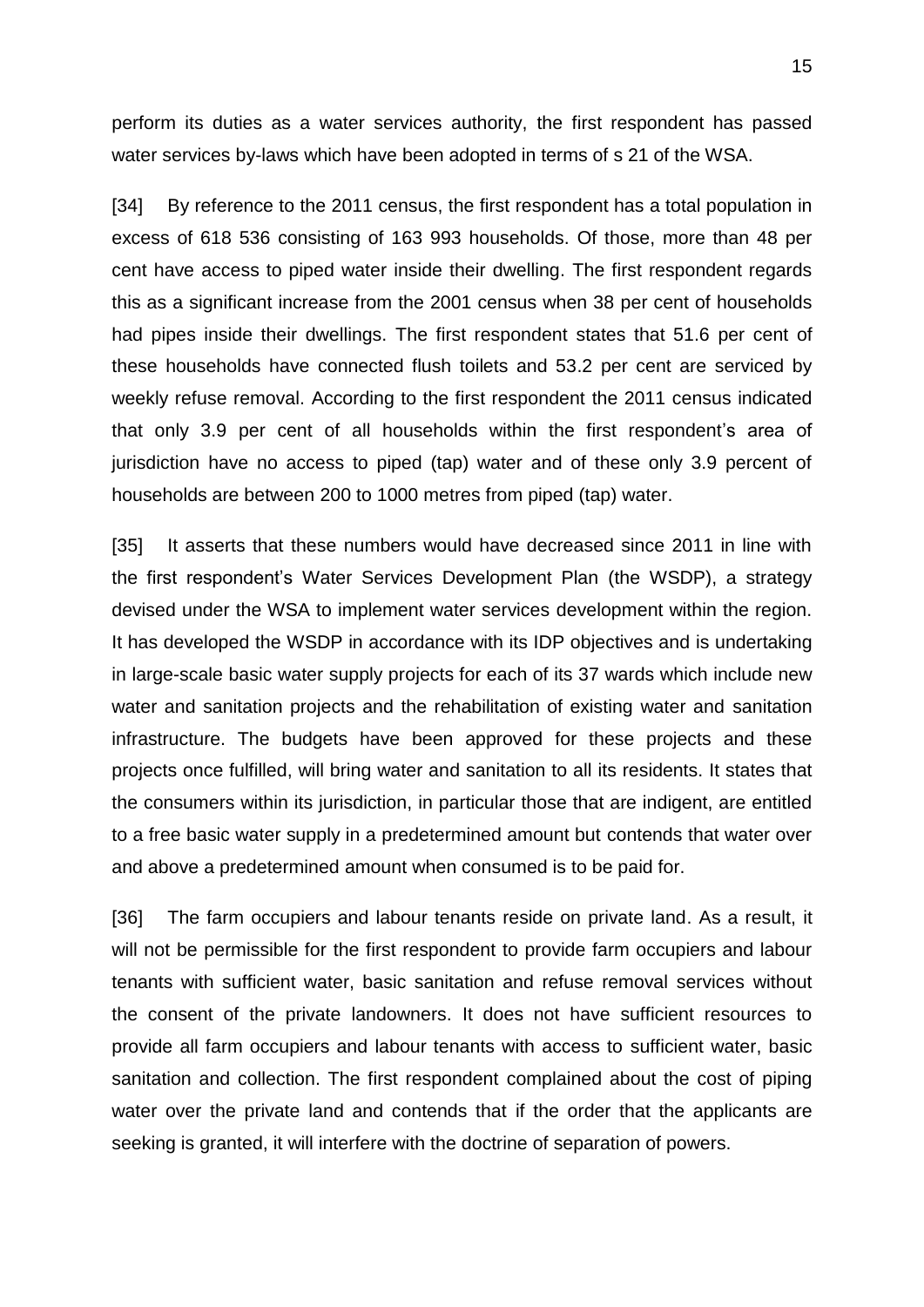perform its duties as a water services authority, the first respondent has passed water services by-laws which have been adopted in terms of s 21 of the WSA.

[34] By reference to the 2011 census, the first respondent has a total population in excess of 618 536 consisting of 163 993 households. Of those, more than 48 per cent have access to piped water inside their dwelling. The first respondent regards this as a significant increase from the 2001 census when 38 per cent of households had pipes inside their dwellings. The first respondent states that 51.6 per cent of these households have connected flush toilets and 53.2 per cent are serviced by weekly refuse removal. According to the first respondent the 2011 census indicated that only 3.9 per cent of all households within the first respondent's area of jurisdiction have no access to piped (tap) water and of these only 3.9 percent of households are between 200 to 1000 metres from piped (tap) water.

[35] It asserts that these numbers would have decreased since 2011 in line with the first respondent's Water Services Development Plan (the WSDP), a strategy devised under the WSA to implement water services development within the region. It has developed the WSDP in accordance with its IDP objectives and is undertaking in large-scale basic water supply projects for each of its 37 wards which include new water and sanitation projects and the rehabilitation of existing water and sanitation infrastructure. The budgets have been approved for these projects and these projects once fulfilled, will bring water and sanitation to all its residents. It states that the consumers within its jurisdiction, in particular those that are indigent, are entitled to a free basic water supply in a predetermined amount but contends that water over and above a predetermined amount when consumed is to be paid for.

[36] The farm occupiers and labour tenants reside on private land. As a result, it will not be permissible for the first respondent to provide farm occupiers and labour tenants with sufficient water, basic sanitation and refuse removal services without the consent of the private landowners. It does not have sufficient resources to provide all farm occupiers and labour tenants with access to sufficient water, basic sanitation and collection. The first respondent complained about the cost of piping water over the private land and contends that if the order that the applicants are seeking is granted, it will interfere with the doctrine of separation of powers.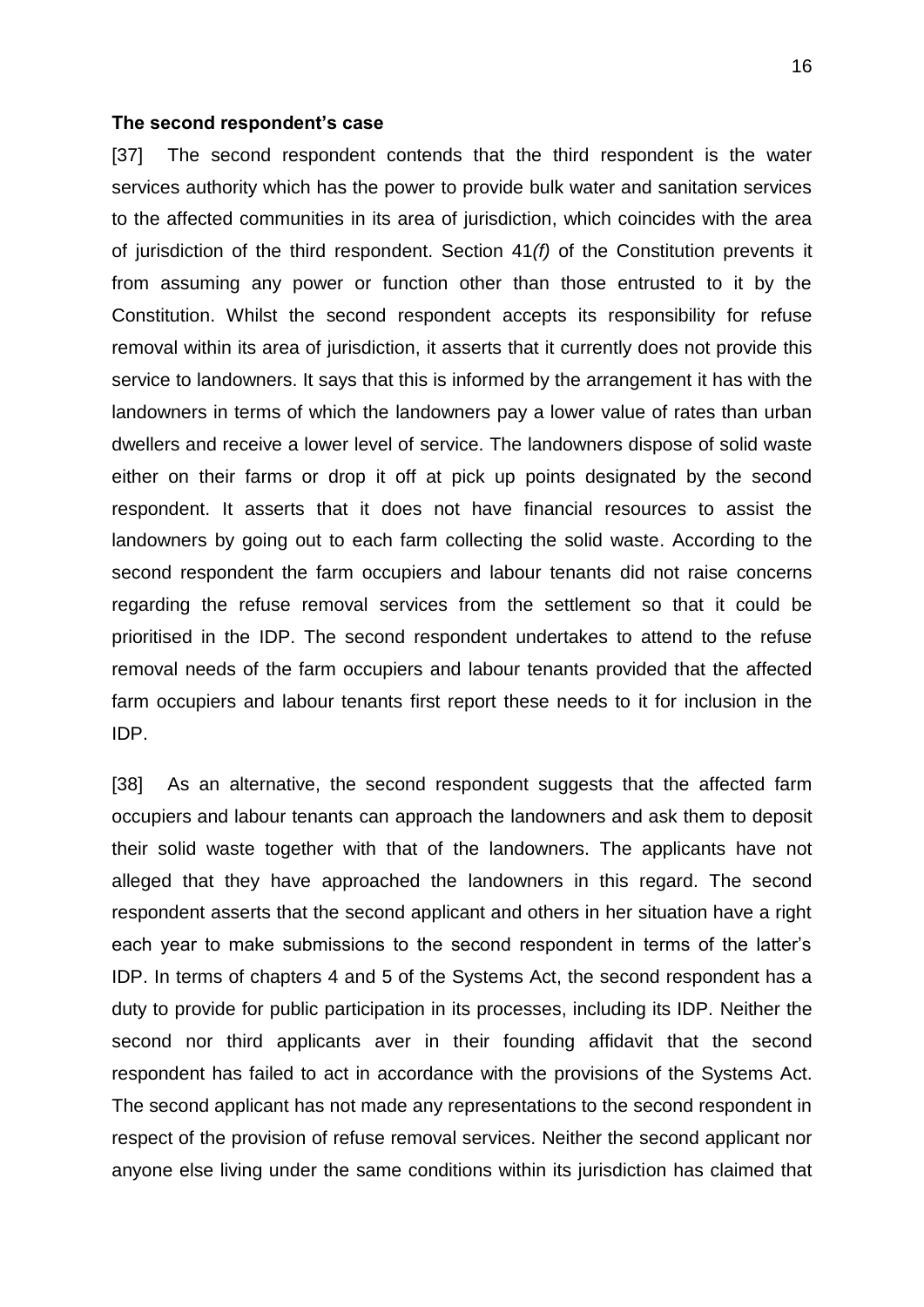#### **The second respondent's case**

[37] The second respondent contends that the third respondent is the water services authority which has the power to provide bulk water and sanitation services to the affected communities in its area of jurisdiction, which coincides with the area of jurisdiction of the third respondent. Section 41*(f)* of the Constitution prevents it from assuming any power or function other than those entrusted to it by the Constitution. Whilst the second respondent accepts its responsibility for refuse removal within its area of jurisdiction, it asserts that it currently does not provide this service to landowners. It says that this is informed by the arrangement it has with the landowners in terms of which the landowners pay a lower value of rates than urban dwellers and receive a lower level of service. The landowners dispose of solid waste either on their farms or drop it off at pick up points designated by the second respondent. It asserts that it does not have financial resources to assist the landowners by going out to each farm collecting the solid waste. According to the second respondent the farm occupiers and labour tenants did not raise concerns regarding the refuse removal services from the settlement so that it could be prioritised in the IDP. The second respondent undertakes to attend to the refuse removal needs of the farm occupiers and labour tenants provided that the affected farm occupiers and labour tenants first report these needs to it for inclusion in the IDP.

[38] As an alternative, the second respondent suggests that the affected farm occupiers and labour tenants can approach the landowners and ask them to deposit their solid waste together with that of the landowners. The applicants have not alleged that they have approached the landowners in this regard. The second respondent asserts that the second applicant and others in her situation have a right each year to make submissions to the second respondent in terms of the latter's IDP. In terms of chapters 4 and 5 of the Systems Act, the second respondent has a duty to provide for public participation in its processes, including its IDP. Neither the second nor third applicants aver in their founding affidavit that the second respondent has failed to act in accordance with the provisions of the Systems Act. The second applicant has not made any representations to the second respondent in respect of the provision of refuse removal services. Neither the second applicant nor anyone else living under the same conditions within its jurisdiction has claimed that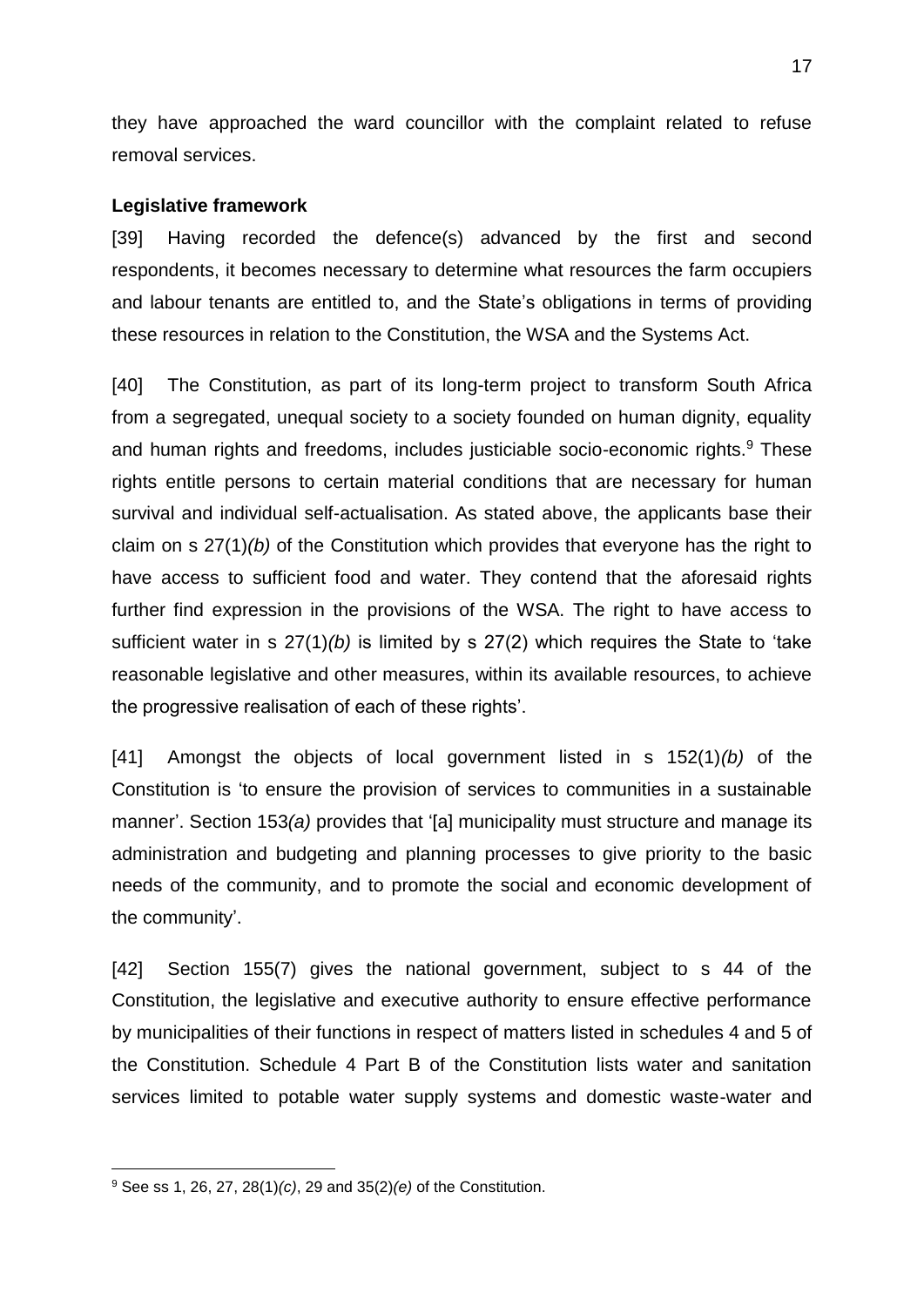they have approached the ward councillor with the complaint related to refuse removal services.

#### **Legislative framework**

[39] Having recorded the defence(s) advanced by the first and second respondents, it becomes necessary to determine what resources the farm occupiers and labour tenants are entitled to, and the State's obligations in terms of providing these resources in relation to the Constitution, the WSA and the Systems Act.

[40] The Constitution, as part of its long-term project to transform South Africa from a segregated, unequal society to a society founded on human dignity, equality and human rights and freedoms, includes justiciable socio-economic rights.<sup>9</sup> These rights entitle persons to certain material conditions that are necessary for human survival and individual self-actualisation. As stated above, the applicants base their claim on s 27(1)*(b)* of the Constitution which provides that everyone has the right to have access to sufficient food and water. They contend that the aforesaid rights further find expression in the provisions of the WSA. The right to have access to sufficient water in s 27(1)*(b)* is limited by s 27(2) which requires the State to 'take reasonable legislative and other measures, within its available resources, to achieve the progressive realisation of each of these rights'.

[41] Amongst the objects of local government listed in s 152(1)*(b)* of the Constitution is 'to ensure the provision of services to communities in a sustainable manner'. Section 153(a) provides that '[a] municipality must structure and manage its administration and budgeting and planning processes to give priority to the basic needs of the community, and to promote the social and economic development of the community'.

[42] Section 155(7) gives the national government, subject to s 44 of the Constitution, the legislative and executive authority to ensure effective performance by municipalities of their functions in respect of matters listed in schedules 4 and 5 of the Constitution. Schedule 4 Part B of the Constitution lists water and sanitation services limited to potable water supply systems and domestic waste-water and

1

<sup>9</sup> See ss 1, 26, 27, 28(1)*(c)*, 29 and 35(2)*(e)* of the Constitution.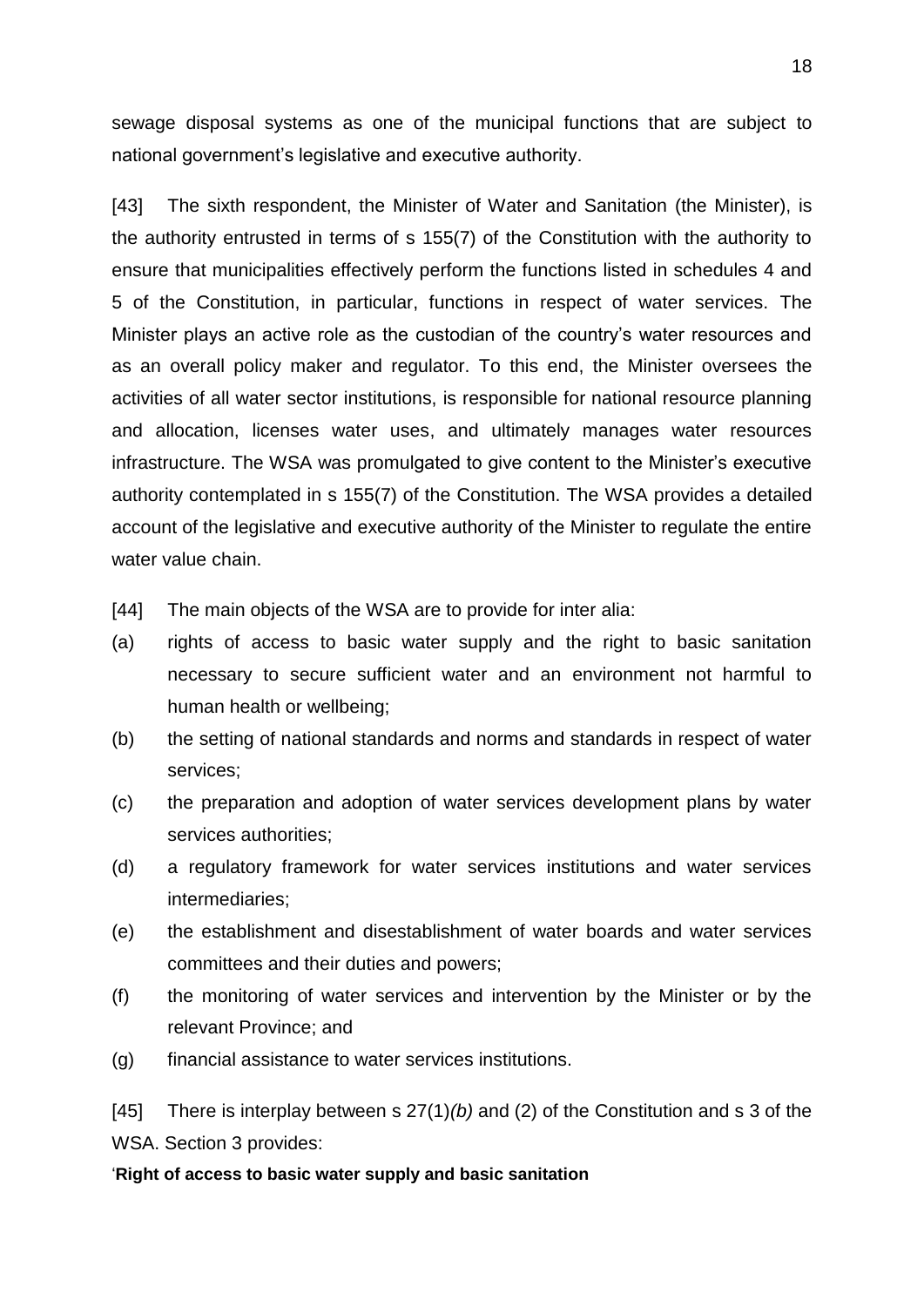sewage disposal systems as one of the municipal functions that are subject to national government's legislative and executive authority.

[43] The sixth respondent, the Minister of Water and Sanitation (the Minister), is the authority entrusted in terms of s 155(7) of the Constitution with the authority to ensure that municipalities effectively perform the functions listed in schedules 4 and 5 of the Constitution, in particular, functions in respect of water services. The Minister plays an active role as the custodian of the country's water resources and as an overall policy maker and regulator. To this end, the Minister oversees the activities of all water sector institutions, is responsible for national resource planning and allocation, licenses water uses, and ultimately manages water resources infrastructure. The WSA was promulgated to give content to the Minister's executive authority contemplated in s 155(7) of the Constitution. The WSA provides a detailed account of the legislative and executive authority of the Minister to regulate the entire water value chain.

[44] The main objects of the WSA are to provide for inter alia:

- (a) rights of access to basic water supply and the right to basic sanitation necessary to secure sufficient water and an environment not harmful to human health or wellbeing;
- (b) the setting of national standards and norms and standards in respect of water services;
- (c) the preparation and adoption of water services development plans by water services authorities;
- (d) a regulatory framework for water services institutions and water services intermediaries;
- (e) the establishment and disestablishment of water boards and water services committees and their duties and powers;
- (f) the monitoring of water services and intervention by the Minister or by the relevant Province; and
- (g) financial assistance to water services institutions.

[45] There is interplay between s 27(1)*(b)* and (2) of the Constitution and s 3 of the WSA. Section 3 provides:

'**Right of access to basic water supply and basic sanitation**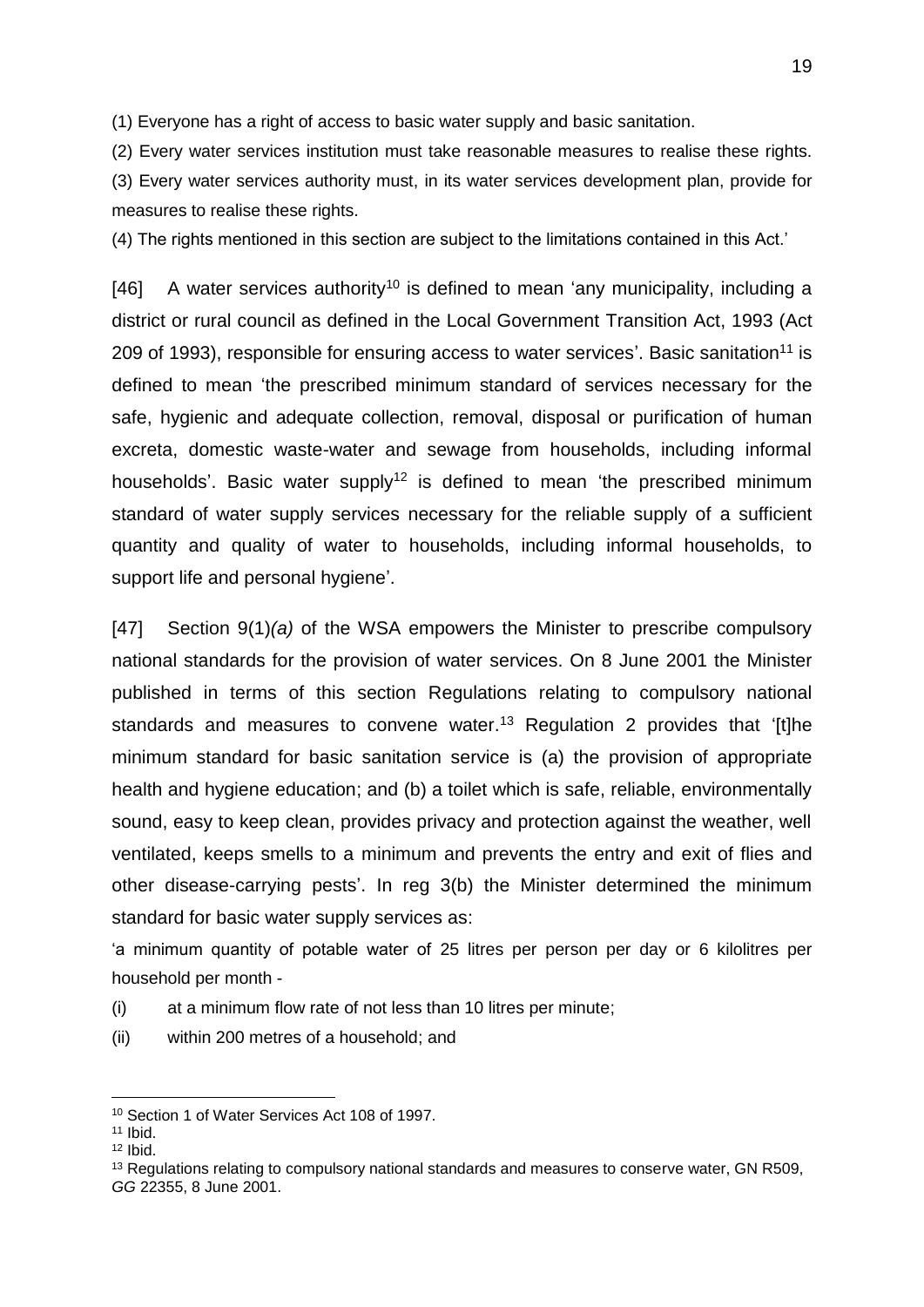(1) Everyone has a right of access to basic water supply and basic sanitation.

(2) Every water services institution must take reasonable measures to realise these rights.

(3) Every water services authority must, in its water services development plan, provide for measures to realise these rights.

(4) The rights mentioned in this section are subject to the limitations contained in this Act.'

[46] A water services authority<sup>10</sup> is defined to mean 'any municipality, including a district or rural council as defined in the Local Government Transition Act, 1993 (Act 209 of 1993), responsible for ensuring access to water services'. Basic sanitation<sup>11</sup> is defined to mean 'the prescribed minimum standard of services necessary for the safe, hygienic and adequate collection, removal, disposal or purification of human excreta, domestic waste-water and sewage from households, including informal households'. Basic water supply<sup>12</sup> is defined to mean 'the prescribed minimum standard of water supply services necessary for the reliable supply of a sufficient quantity and quality of water to households, including informal households, to support life and personal hygiene'.

[47] Section 9(1)*(a)* of the WSA empowers the Minister to prescribe compulsory national standards for the provision of water services. On 8 June 2001 the Minister published in terms of this section Regulations relating to compulsory national standards and measures to convene water.<sup>13</sup> Regulation 2 provides that '[t]he minimum standard for basic sanitation service is (a) the provision of appropriate health and hygiene education; and (b) a toilet which is safe, reliable, environmentally sound, easy to keep clean, provides privacy and protection against the weather, well ventilated, keeps smells to a minimum and prevents the entry and exit of flies and other disease-carrying pests'. In reg 3(b) the Minister determined the minimum standard for basic water supply services as:

'a minimum quantity of potable water of 25 litres per person per day or 6 kilolitres per household per month -

- (i) at a minimum flow rate of not less than 10 litres per minute;
- (ii) within 200 metres of a household; and

<u>.</u>

<sup>10</sup> Section 1 of Water Services Act 108 of 1997.

 $11$  Ibid.

 $12$  Ibid.

<sup>&</sup>lt;sup>13</sup> Regulations relating to compulsory national standards and measures to conserve water, GN R509, *GG* 22355, 8 June 2001.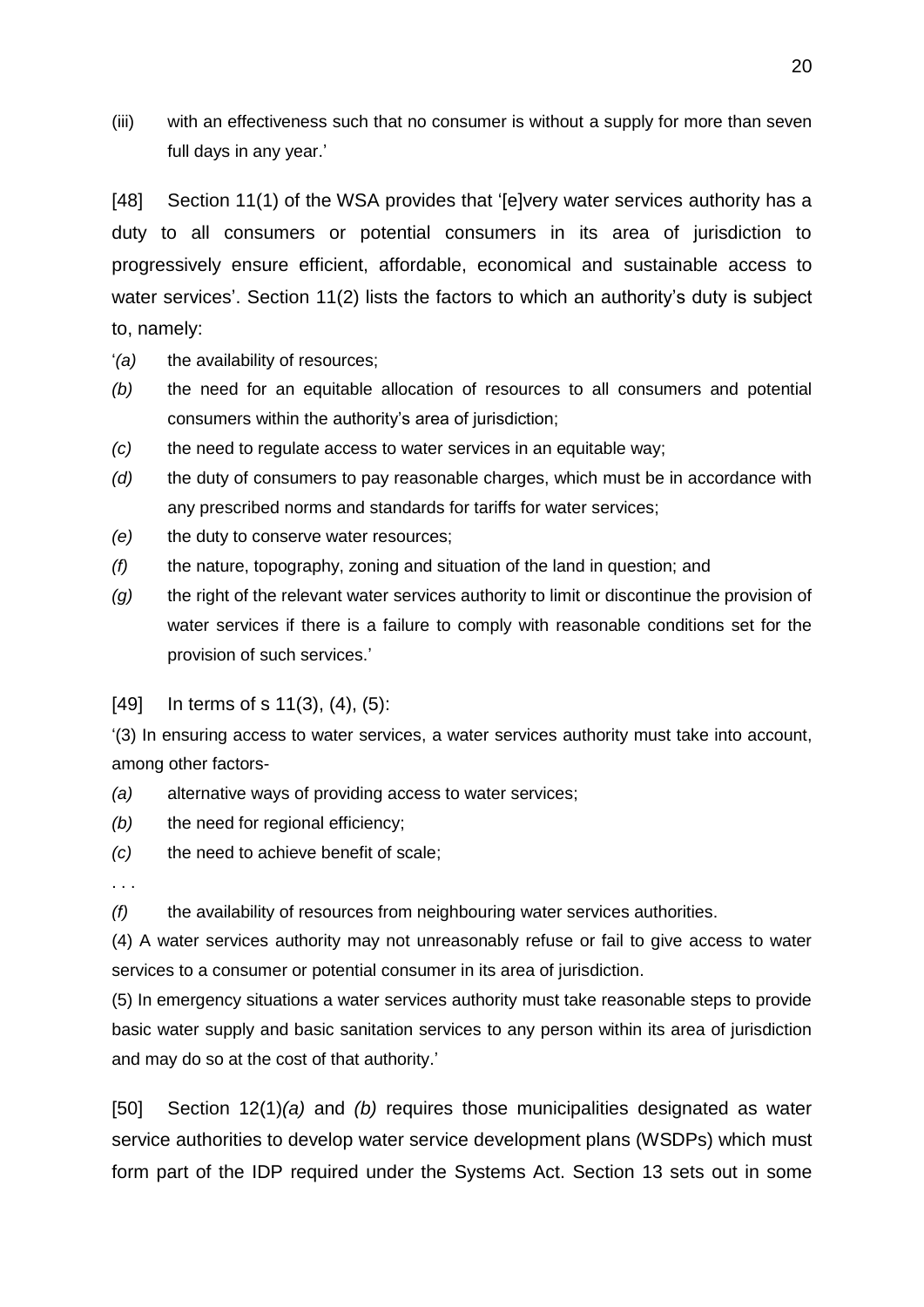(iii) with an effectiveness such that no consumer is without a supply for more than seven full days in any year.'

[48] Section 11(1) of the WSA provides that '[e]very water services authority has a duty to all consumers or potential consumers in its area of jurisdiction to progressively ensure efficient, affordable, economical and sustainable access to water services'. Section 11(2) lists the factors to which an authority's duty is subject to, namely:

- '*(a)* the availability of resources;
- *(b)* the need for an equitable allocation of resources to all consumers and potential consumers within the authority's area of jurisdiction;
- *(c)* the need to regulate access to water services in an equitable way;
- *(d)* the duty of consumers to pay reasonable charges, which must be in accordance with any prescribed norms and standards for tariffs for water services;
- *(e)* the duty to conserve water resources;
- *(f)* the nature, topography, zoning and situation of the land in question; and
- *(g)* the right of the relevant water services authority to limit or discontinue the provision of water services if there is a failure to comply with reasonable conditions set for the provision of such services.'
- [49] In terms of s 11(3), (4), (5):

'(3) In ensuring access to water services, a water services authority must take into account, among other factors-

*(a)* alternative ways of providing access to water services;

- *(b)* the need for regional efficiency;
- *(c)* the need to achieve benefit of scale;
- . . .

*(f)* the availability of resources from neighbouring water services authorities.

(4) A water services authority may not unreasonably refuse or fail to give access to water services to a consumer or potential consumer in its area of jurisdiction.

(5) In emergency situations a water services authority must take reasonable steps to provide basic water supply and basic sanitation services to any person within its area of jurisdiction and may do so at the cost of that authority.'

[50] Section 12(1)*(a)* and *(b)* requires those municipalities designated as water service authorities to develop water service development plans (WSDPs) which must form part of the IDP required under the Systems Act. Section 13 sets out in some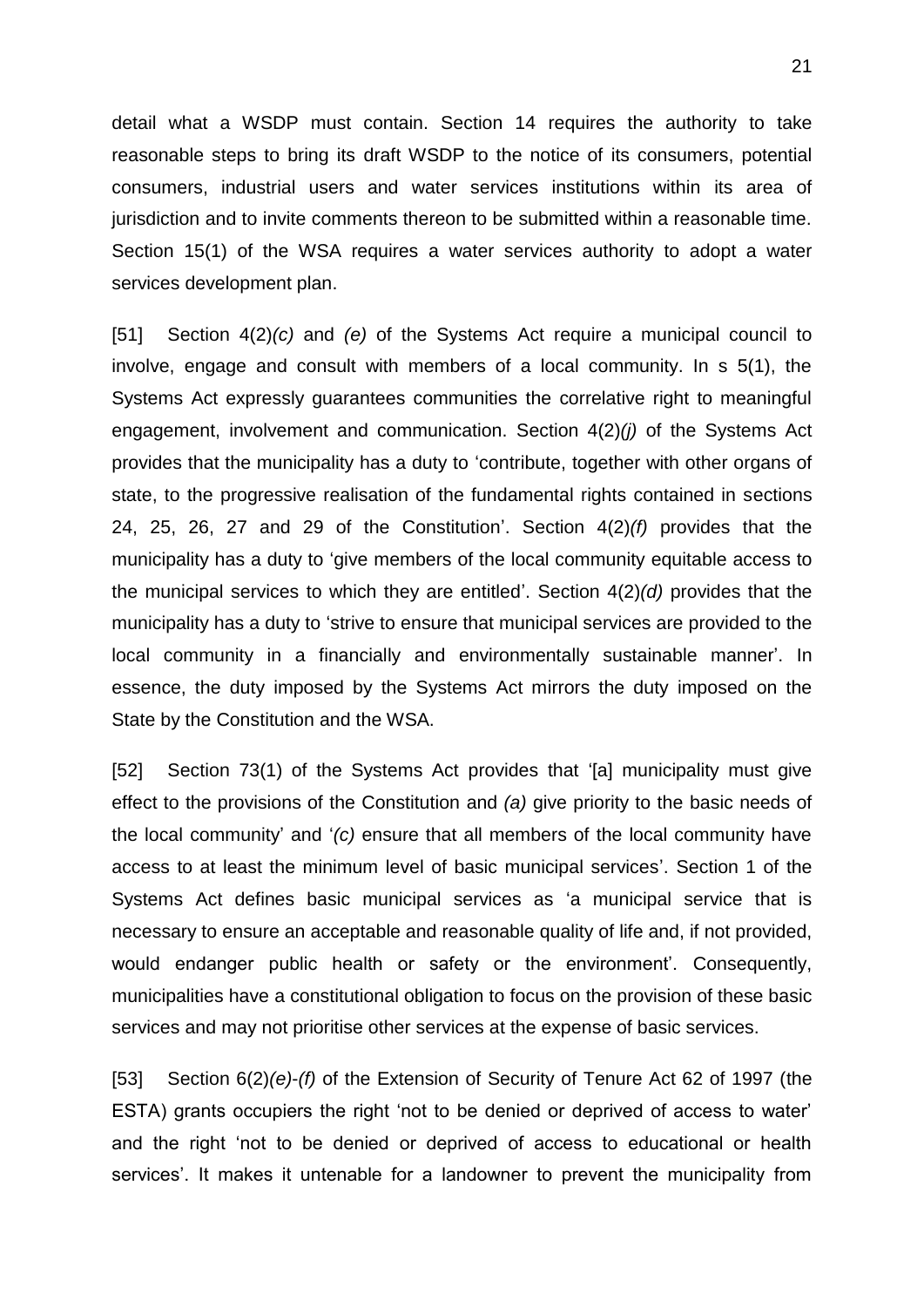detail what a WSDP must contain. Section 14 requires the authority to take reasonable steps to bring its draft WSDP to the notice of its consumers, potential consumers, industrial users and water services institutions within its area of jurisdiction and to invite comments thereon to be submitted within a reasonable time. Section 15(1) of the WSA requires a water services authority to adopt a water services development plan.

[51] Section 4(2)*(c)* and *(e)* of the Systems Act require a municipal council to involve, engage and consult with members of a local community. In s 5(1), the Systems Act expressly guarantees communities the correlative right to meaningful engagement, involvement and communication. Section 4(2)*(j)* of the Systems Act provides that the municipality has a duty to 'contribute, together with other organs of state, to the progressive realisation of the fundamental rights contained in sections 24, 25, 26, 27 and 29 of the Constitution'. Section 4(2)*(f)* provides that the municipality has a duty to 'give members of the local community equitable access to the municipal services to which they are entitled'. Section 4(2)*(d)* provides that the municipality has a duty to 'strive to ensure that municipal services are provided to the local community in a financially and environmentally sustainable manner'. In essence, the duty imposed by the Systems Act mirrors the duty imposed on the State by the Constitution and the WSA.

[52] Section 73(1) of the Systems Act provides that '[a] municipality must give effect to the provisions of the Constitution and *(a)* give priority to the basic needs of the local community' and '*(c)* ensure that all members of the local community have access to at least the minimum level of basic municipal services'. Section 1 of the Systems Act defines basic municipal services as 'a municipal service that is necessary to ensure an acceptable and reasonable quality of life and, if not provided, would endanger public health or safety or the environment'. Consequently, municipalities have a constitutional obligation to focus on the provision of these basic services and may not prioritise other services at the expense of basic services.

[53] Section 6(2)*(e)*-*(f)* of the Extension of Security of Tenure Act 62 of 1997 (the ESTA) grants occupiers the right 'not to be denied or deprived of access to water' and the right 'not to be denied or deprived of access to educational or health services'. It makes it untenable for a landowner to prevent the municipality from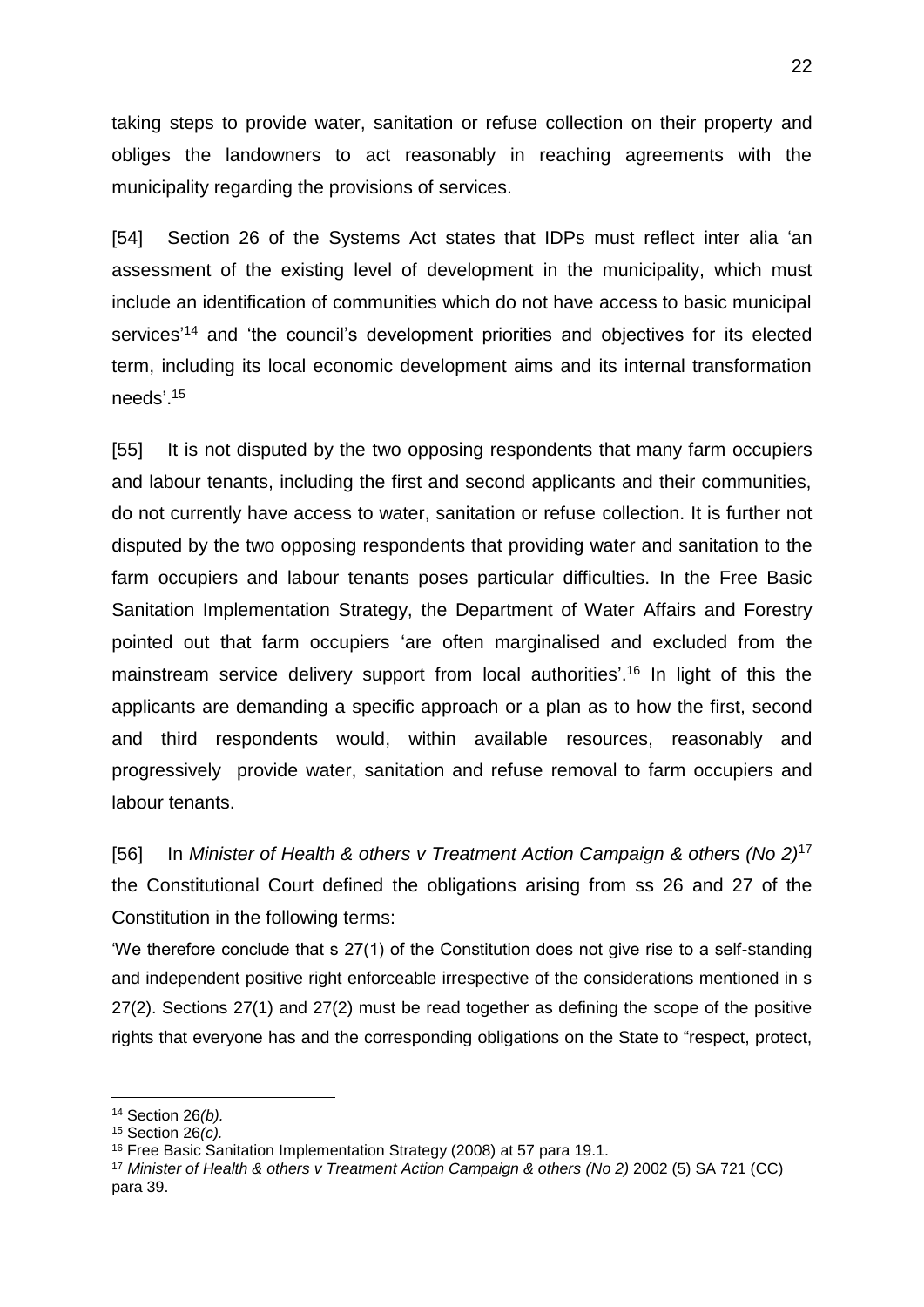taking steps to provide water, sanitation or refuse collection on their property and obliges the landowners to act reasonably in reaching agreements with the municipality regarding the provisions of services.

[54] Section 26 of the Systems Act states that IDPs must reflect inter alia 'an assessment of the existing level of development in the municipality, which must include an identification of communities which do not have access to basic municipal services<sup>'14</sup> and 'the council's development priorities and objectives for its elected term, including its local economic development aims and its internal transformation needs'. 15

[55] It is not disputed by the two opposing respondents that many farm occupiers and labour tenants, including the first and second applicants and their communities, do not currently have access to water, sanitation or refuse collection. It is further not disputed by the two opposing respondents that providing water and sanitation to the farm occupiers and labour tenants poses particular difficulties. In the Free Basic Sanitation Implementation Strategy, the Department of Water Affairs and Forestry pointed out that farm occupiers 'are often marginalised and excluded from the mainstream service delivery support from local authorities'.<sup>16</sup> In light of this the applicants are demanding a specific approach or a plan as to how the first, second and third respondents would, within available resources, reasonably and progressively provide water, sanitation and refuse removal to farm occupiers and labour tenants.

[56] In *Minister of Health & others v Treatment Action Campaign & others (No 2)*<sup>17</sup> the Constitutional Court defined the obligations arising from ss 26 and 27 of the Constitution in the following terms:

'We therefore conclude that s 27(1) of the Constitution does not give rise to a self-standing and independent positive right enforceable irrespective of the considerations mentioned in s 27(2). Sections 27(1) and 27(2) must be read together as defining the scope of the positive rights that everyone has and the corresponding obligations on the State to "respect, protect,

<sup>&</sup>lt;u>.</u> <sup>14</sup> Section 26*(b).*

<sup>15</sup> Section 26*(c).*

<sup>16</sup> Free Basic Sanitation Implementation Strategy (2008) at 57 para 19.1.

<sup>17</sup> *Minister of Health & others v Treatment Action Campaign & others (No 2)* 2002 (5) SA 721 (CC) para 39.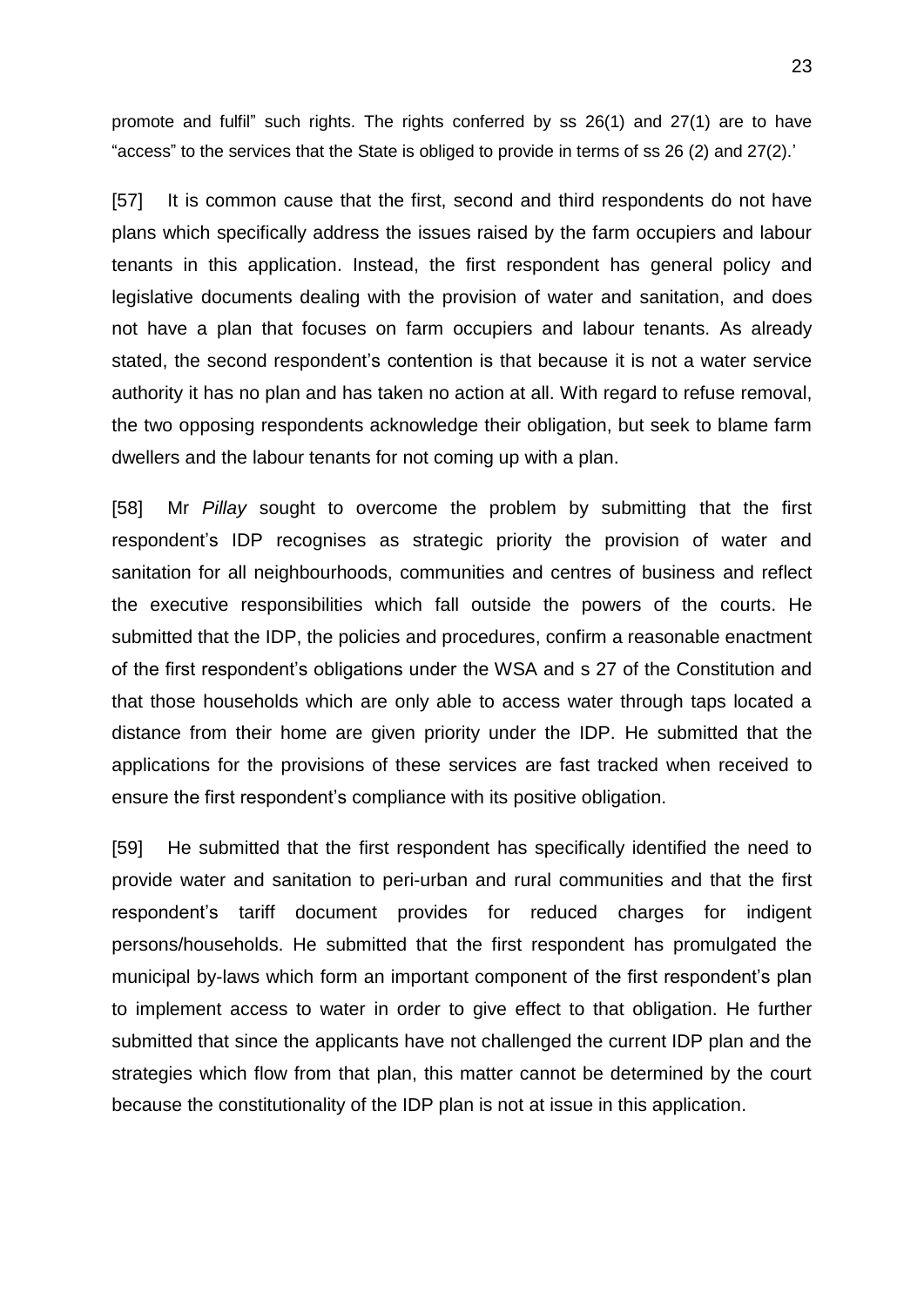promote and fulfil" such rights. The rights conferred by ss 26(1) and 27(1) are to have "access" to the services that the State is obliged to provide in terms of ss 26 (2) and 27(2).'

[57] It is common cause that the first, second and third respondents do not have plans which specifically address the issues raised by the farm occupiers and labour tenants in this application. Instead, the first respondent has general policy and legislative documents dealing with the provision of water and sanitation, and does not have a plan that focuses on farm occupiers and labour tenants. As already stated, the second respondent's contention is that because it is not a water service authority it has no plan and has taken no action at all. With regard to refuse removal, the two opposing respondents acknowledge their obligation, but seek to blame farm dwellers and the labour tenants for not coming up with a plan.

[58] Mr *Pillay* sought to overcome the problem by submitting that the first respondent's IDP recognises as strategic priority the provision of water and sanitation for all neighbourhoods, communities and centres of business and reflect the executive responsibilities which fall outside the powers of the courts. He submitted that the IDP, the policies and procedures, confirm a reasonable enactment of the first respondent's obligations under the WSA and s 27 of the Constitution and that those households which are only able to access water through taps located a distance from their home are given priority under the IDP. He submitted that the applications for the provisions of these services are fast tracked when received to ensure the first respondent's compliance with its positive obligation.

[59] He submitted that the first respondent has specifically identified the need to provide water and sanitation to peri-urban and rural communities and that the first respondent's tariff document provides for reduced charges for indigent persons/households. He submitted that the first respondent has promulgated the municipal by-laws which form an important component of the first respondent's plan to implement access to water in order to give effect to that obligation. He further submitted that since the applicants have not challenged the current IDP plan and the strategies which flow from that plan, this matter cannot be determined by the court because the constitutionality of the IDP plan is not at issue in this application.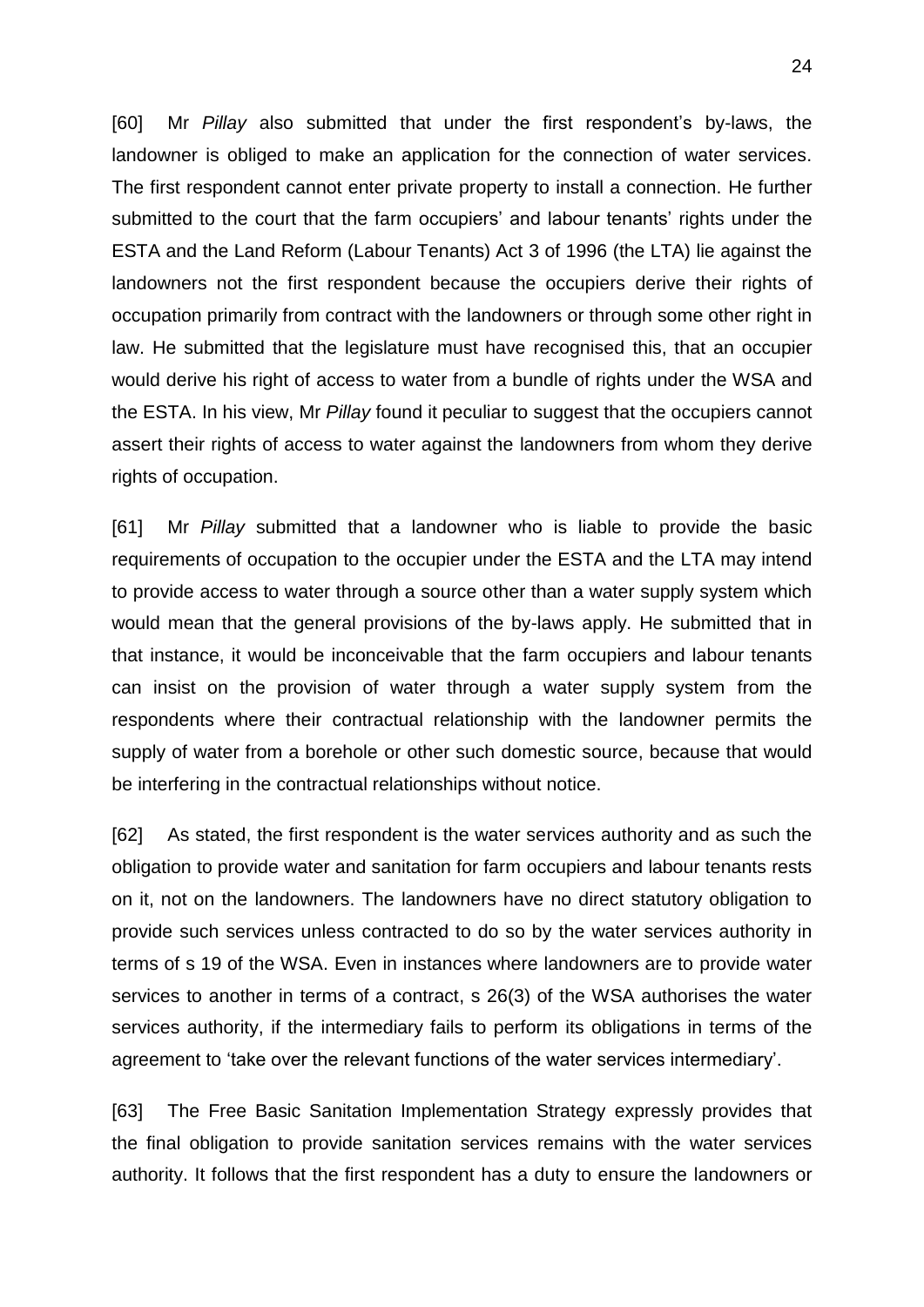[60] Mr *Pillay* also submitted that under the first respondent's by-laws, the landowner is obliged to make an application for the connection of water services. The first respondent cannot enter private property to install a connection. He further submitted to the court that the farm occupiers' and labour tenants' rights under the ESTA and the Land Reform (Labour Tenants) Act 3 of 1996 (the LTA) lie against the landowners not the first respondent because the occupiers derive their rights of occupation primarily from contract with the landowners or through some other right in law. He submitted that the legislature must have recognised this, that an occupier would derive his right of access to water from a bundle of rights under the WSA and the ESTA. In his view, Mr *Pillay* found it peculiar to suggest that the occupiers cannot assert their rights of access to water against the landowners from whom they derive rights of occupation.

[61] Mr *Pillay* submitted that a landowner who is liable to provide the basic requirements of occupation to the occupier under the ESTA and the LTA may intend to provide access to water through a source other than a water supply system which would mean that the general provisions of the by-laws apply. He submitted that in that instance, it would be inconceivable that the farm occupiers and labour tenants can insist on the provision of water through a water supply system from the respondents where their contractual relationship with the landowner permits the supply of water from a borehole or other such domestic source, because that would be interfering in the contractual relationships without notice.

[62] As stated, the first respondent is the water services authority and as such the obligation to provide water and sanitation for farm occupiers and labour tenants rests on it, not on the landowners. The landowners have no direct statutory obligation to provide such services unless contracted to do so by the water services authority in terms of s 19 of the WSA. Even in instances where landowners are to provide water services to another in terms of a contract, s 26(3) of the WSA authorises the water services authority, if the intermediary fails to perform its obligations in terms of the agreement to 'take over the relevant functions of the water services intermediary'.

[63] The Free Basic Sanitation Implementation Strategy expressly provides that the final obligation to provide sanitation services remains with the water services authority. It follows that the first respondent has a duty to ensure the landowners or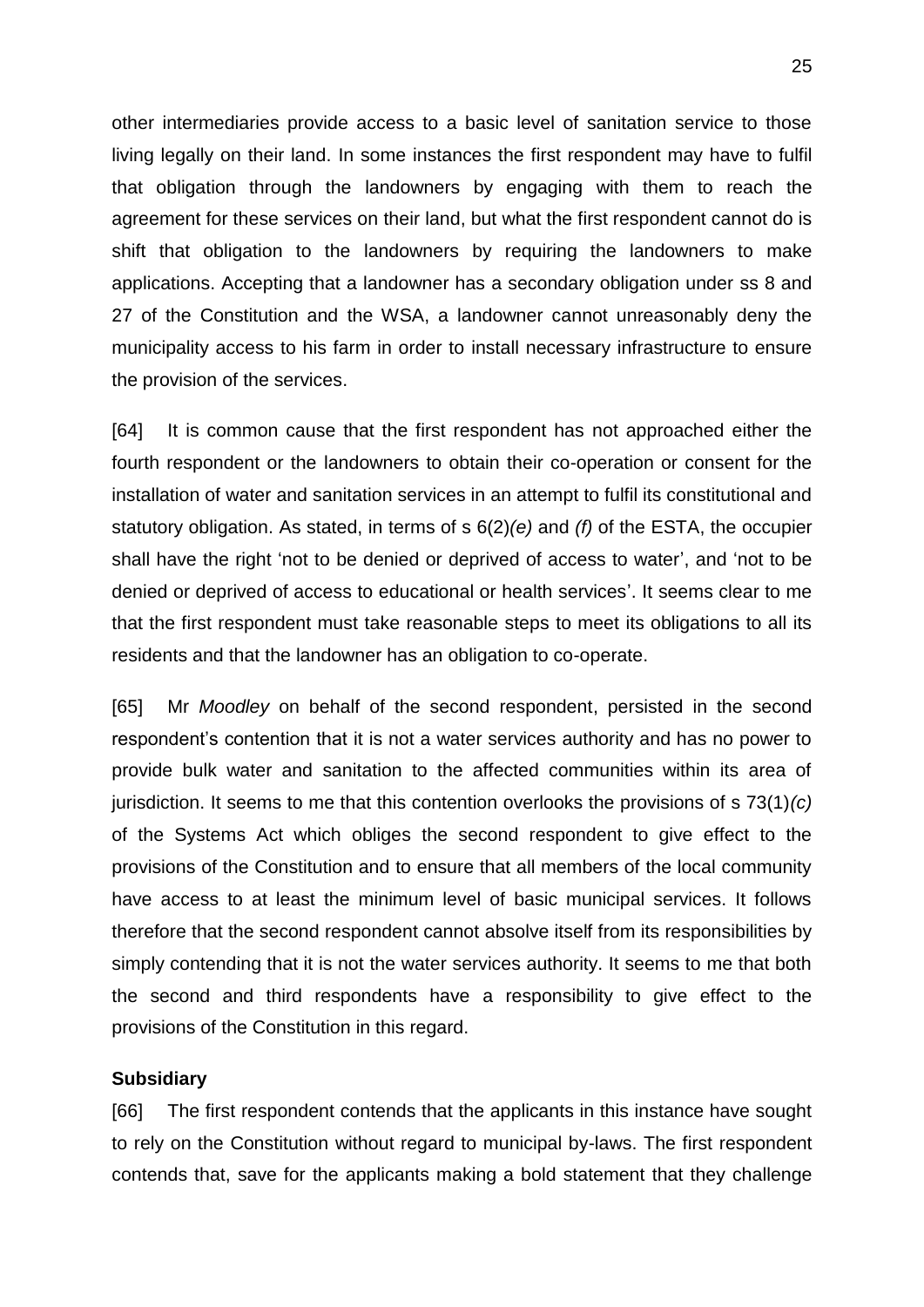other intermediaries provide access to a basic level of sanitation service to those living legally on their land. In some instances the first respondent may have to fulfil that obligation through the landowners by engaging with them to reach the agreement for these services on their land, but what the first respondent cannot do is shift that obligation to the landowners by requiring the landowners to make applications. Accepting that a landowner has a secondary obligation under ss 8 and 27 of the Constitution and the WSA, a landowner cannot unreasonably deny the municipality access to his farm in order to install necessary infrastructure to ensure the provision of the services.

[64] It is common cause that the first respondent has not approached either the fourth respondent or the landowners to obtain their co-operation or consent for the installation of water and sanitation services in an attempt to fulfil its constitutional and statutory obligation. As stated, in terms of s 6(2)*(e)* and *(f)* of the ESTA, the occupier shall have the right 'not to be denied or deprived of access to water', and 'not to be denied or deprived of access to educational or health services'. It seems clear to me that the first respondent must take reasonable steps to meet its obligations to all its residents and that the landowner has an obligation to co-operate.

[65] Mr *Moodley* on behalf of the second respondent, persisted in the second respondent's contention that it is not a water services authority and has no power to provide bulk water and sanitation to the affected communities within its area of jurisdiction. It seems to me that this contention overlooks the provisions of s 73(1)*(c)* of the Systems Act which obliges the second respondent to give effect to the provisions of the Constitution and to ensure that all members of the local community have access to at least the minimum level of basic municipal services. It follows therefore that the second respondent cannot absolve itself from its responsibilities by simply contending that it is not the water services authority. It seems to me that both the second and third respondents have a responsibility to give effect to the provisions of the Constitution in this regard.

#### **Subsidiary**

[66] The first respondent contends that the applicants in this instance have sought to rely on the Constitution without regard to municipal by-laws. The first respondent contends that, save for the applicants making a bold statement that they challenge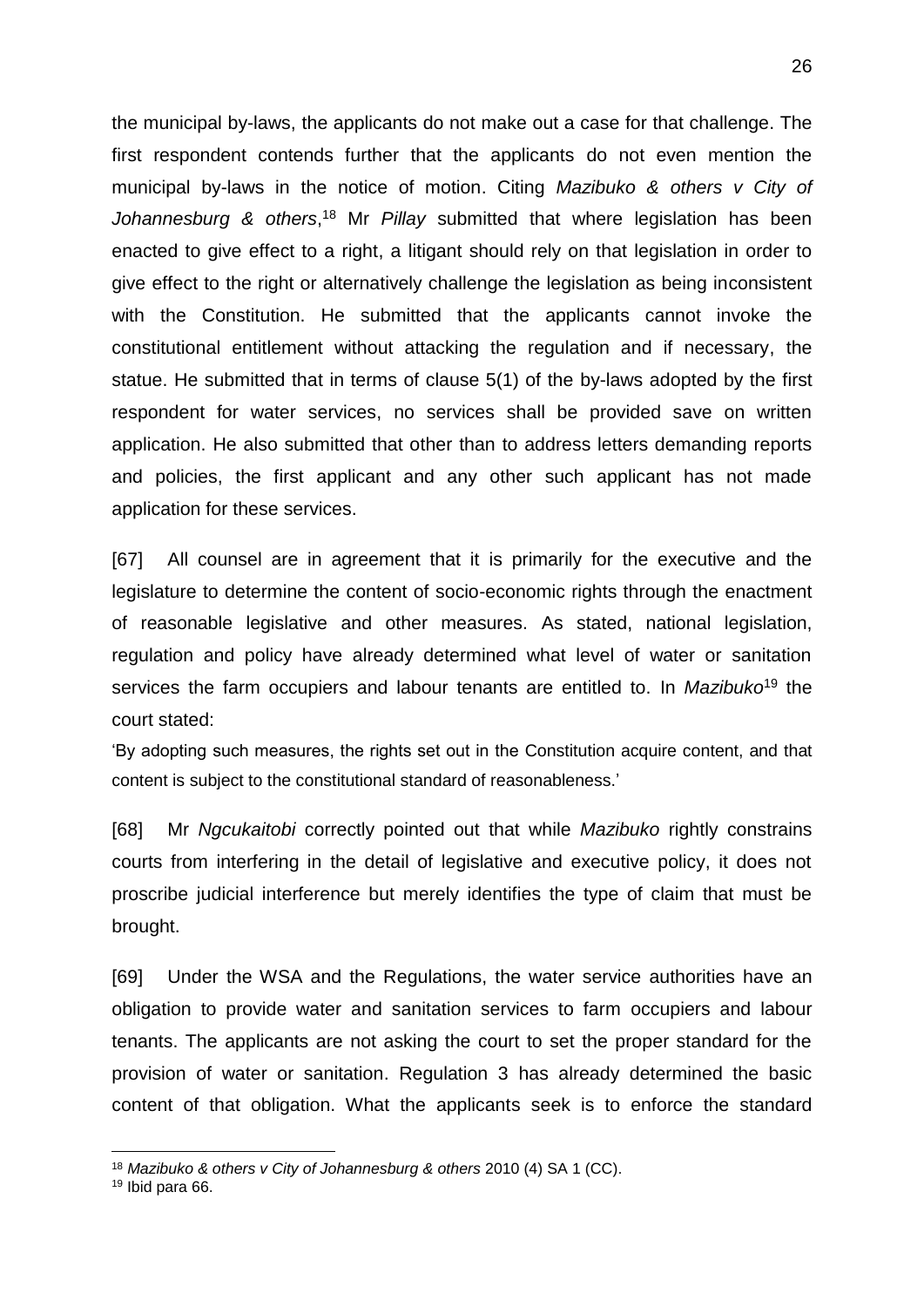the municipal by-laws, the applicants do not make out a case for that challenge. The first respondent contends further that the applicants do not even mention the municipal by-laws in the notice of motion. Citing *Mazibuko & others v City of Johannesburg & others*, <sup>18</sup> Mr *Pillay* submitted that where legislation has been enacted to give effect to a right, a litigant should rely on that legislation in order to give effect to the right or alternatively challenge the legislation as being inconsistent with the Constitution. He submitted that the applicants cannot invoke the constitutional entitlement without attacking the regulation and if necessary, the statue. He submitted that in terms of clause 5(1) of the by-laws adopted by the first respondent for water services, no services shall be provided save on written application. He also submitted that other than to address letters demanding reports and policies, the first applicant and any other such applicant has not made application for these services.

[67] All counsel are in agreement that it is primarily for the executive and the legislature to determine the content of socio-economic rights through the enactment of reasonable legislative and other measures. As stated, national legislation, regulation and policy have already determined what level of water or sanitation services the farm occupiers and labour tenants are entitled to. In *Mazibuko*<sup>19</sup> the court stated:

'By adopting such measures, the rights set out in the Constitution acquire content, and that content is subject to the constitutional standard of reasonableness.'

[68] Mr *Ngcukaitobi* correctly pointed out that while *Mazibuko* rightly constrains courts from interfering in the detail of legislative and executive policy, it does not proscribe judicial interference but merely identifies the type of claim that must be brought.

[69] Under the WSA and the Regulations, the water service authorities have an obligation to provide water and sanitation services to farm occupiers and labour tenants. The applicants are not asking the court to set the proper standard for the provision of water or sanitation. Regulation 3 has already determined the basic content of that obligation. What the applicants seek is to enforce the standard

1

<sup>18</sup> *Mazibuko & others v City of Johannesburg & others* 2010 (4) SA 1 (CC).

<sup>19</sup> Ibid para 66.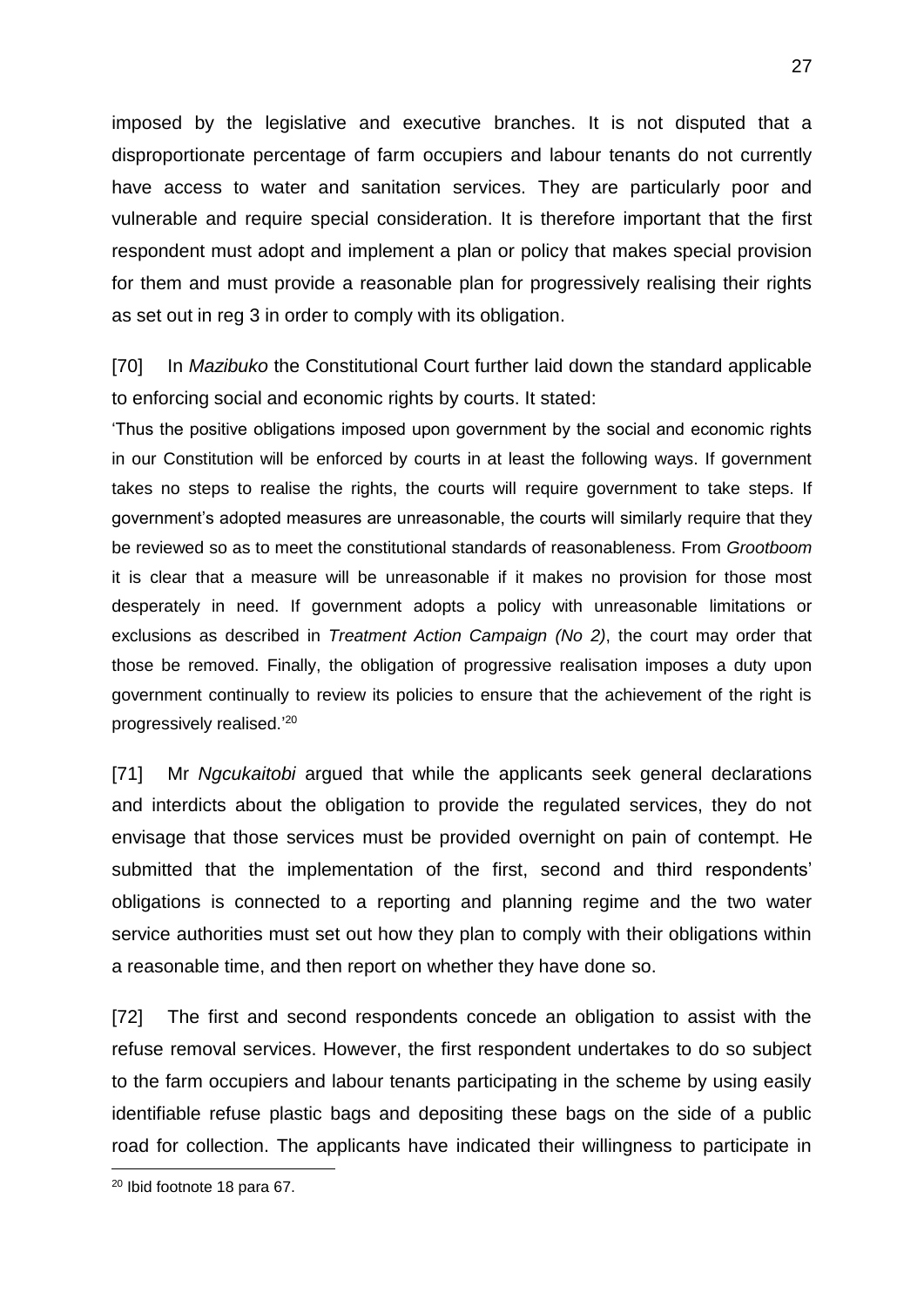imposed by the legislative and executive branches. It is not disputed that a disproportionate percentage of farm occupiers and labour tenants do not currently have access to water and sanitation services. They are particularly poor and vulnerable and require special consideration. It is therefore important that the first respondent must adopt and implement a plan or policy that makes special provision for them and must provide a reasonable plan for progressively realising their rights as set out in reg 3 in order to comply with its obligation.

[70] In *Mazibuko* the Constitutional Court further laid down the standard applicable to enforcing social and economic rights by courts. It stated:

'Thus the positive obligations imposed upon government by the social and economic rights in our Constitution will be enforced by courts in at least the following ways. If government takes no steps to realise the rights, the courts will require government to take steps. If government's adopted measures are unreasonable, the courts will similarly require that they be reviewed so as to meet the constitutional standards of reasonableness. From *Grootboom* it is clear that a measure will be unreasonable if it makes no provision for those most desperately in need. If government adopts a policy with unreasonable limitations or exclusions as described in *Treatment Action Campaign (No 2)*, the court may order that those be removed. Finally, the obligation of progressive realisation imposes a duty upon government continually to review its policies to ensure that the achievement of the right is progressively realised.' 20

[71] Mr *Ngcukaitobi* argued that while the applicants seek general declarations and interdicts about the obligation to provide the regulated services, they do not envisage that those services must be provided overnight on pain of contempt. He submitted that the implementation of the first, second and third respondents' obligations is connected to a reporting and planning regime and the two water service authorities must set out how they plan to comply with their obligations within a reasonable time, and then report on whether they have done so.

[72] The first and second respondents concede an obligation to assist with the refuse removal services. However, the first respondent undertakes to do so subject to the farm occupiers and labour tenants participating in the scheme by using easily identifiable refuse plastic bags and depositing these bags on the side of a public road for collection. The applicants have indicated their willingness to participate in

1

<sup>20</sup> Ibid footnote 18 para 67.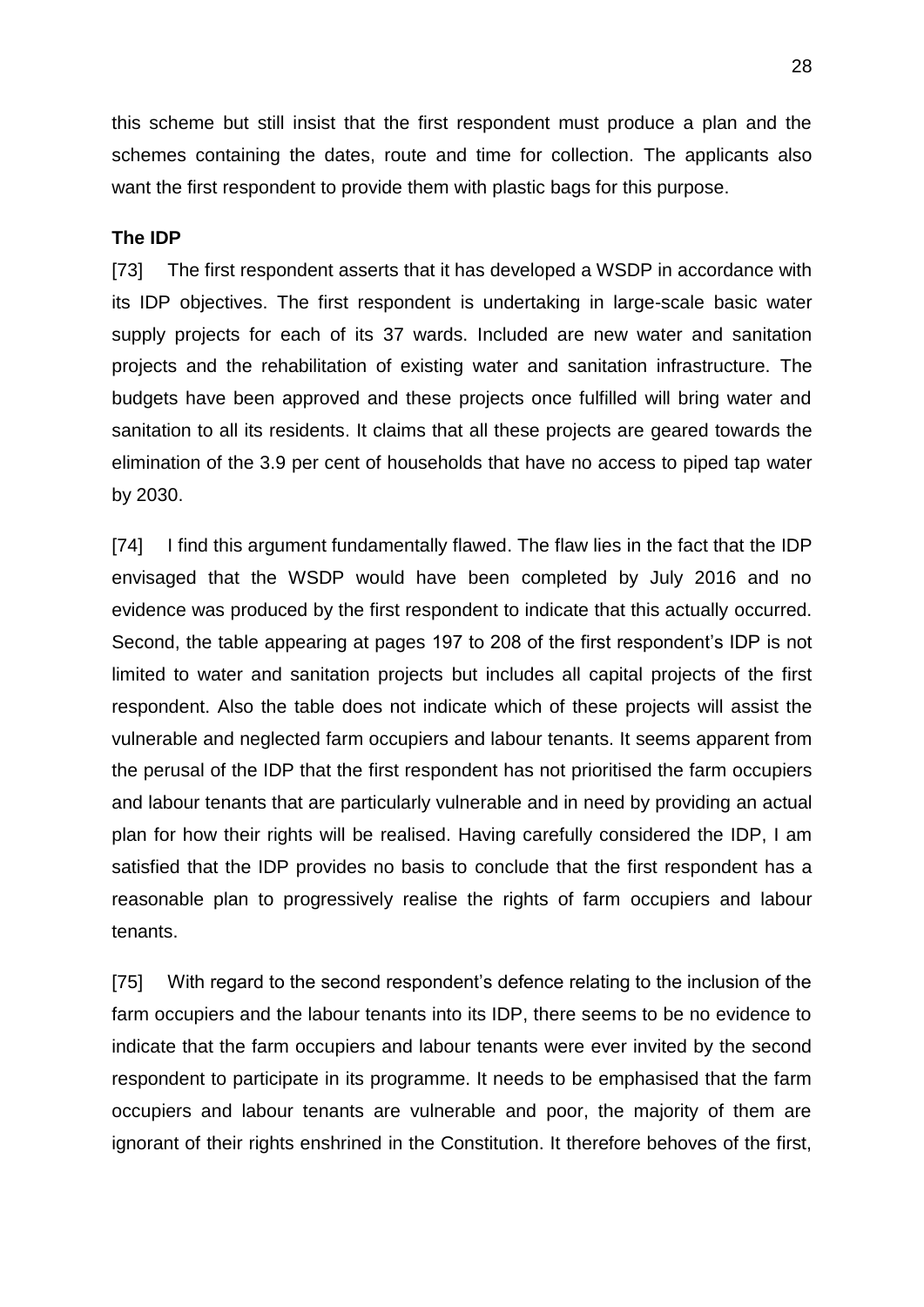this scheme but still insist that the first respondent must produce a plan and the schemes containing the dates, route and time for collection. The applicants also want the first respondent to provide them with plastic bags for this purpose.

## **The IDP**

[73] The first respondent asserts that it has developed a WSDP in accordance with its IDP objectives. The first respondent is undertaking in large-scale basic water supply projects for each of its 37 wards. Included are new water and sanitation projects and the rehabilitation of existing water and sanitation infrastructure. The budgets have been approved and these projects once fulfilled will bring water and sanitation to all its residents. It claims that all these projects are geared towards the elimination of the 3.9 per cent of households that have no access to piped tap water by 2030.

[74] I find this argument fundamentally flawed. The flaw lies in the fact that the IDP envisaged that the WSDP would have been completed by July 2016 and no evidence was produced by the first respondent to indicate that this actually occurred. Second, the table appearing at pages 197 to 208 of the first respondent's IDP is not limited to water and sanitation projects but includes all capital projects of the first respondent. Also the table does not indicate which of these projects will assist the vulnerable and neglected farm occupiers and labour tenants. It seems apparent from the perusal of the IDP that the first respondent has not prioritised the farm occupiers and labour tenants that are particularly vulnerable and in need by providing an actual plan for how their rights will be realised. Having carefully considered the IDP, I am satisfied that the IDP provides no basis to conclude that the first respondent has a reasonable plan to progressively realise the rights of farm occupiers and labour tenants.

[75] With regard to the second respondent's defence relating to the inclusion of the farm occupiers and the labour tenants into its IDP, there seems to be no evidence to indicate that the farm occupiers and labour tenants were ever invited by the second respondent to participate in its programme. It needs to be emphasised that the farm occupiers and labour tenants are vulnerable and poor, the majority of them are ignorant of their rights enshrined in the Constitution. It therefore behoves of the first,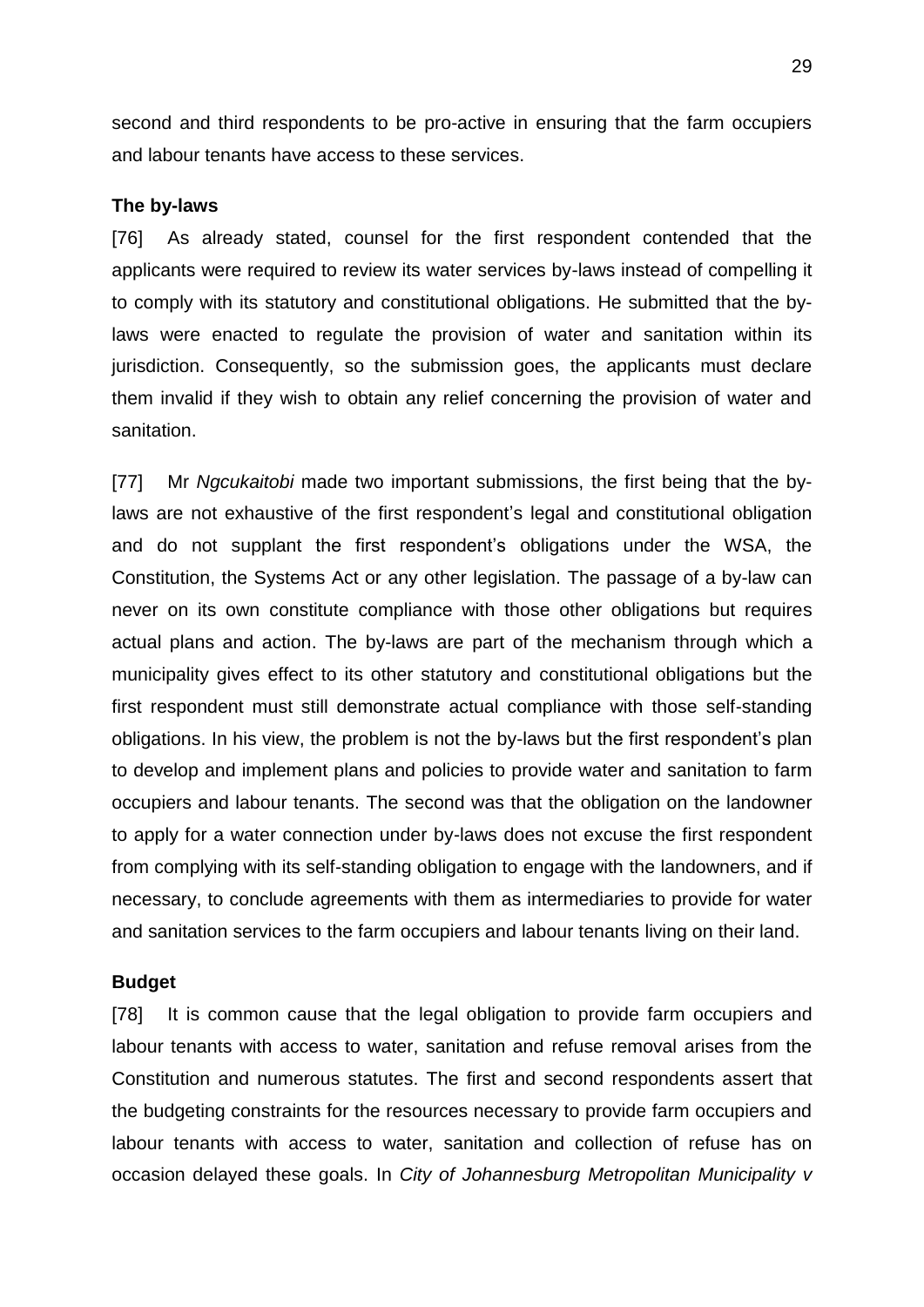second and third respondents to be pro-active in ensuring that the farm occupiers and labour tenants have access to these services.

#### **The by-laws**

[76] As already stated, counsel for the first respondent contended that the applicants were required to review its water services by-laws instead of compelling it to comply with its statutory and constitutional obligations. He submitted that the bylaws were enacted to regulate the provision of water and sanitation within its jurisdiction. Consequently, so the submission goes, the applicants must declare them invalid if they wish to obtain any relief concerning the provision of water and sanitation.

[77] Mr *Ngcukaitobi* made two important submissions, the first being that the bylaws are not exhaustive of the first respondent's legal and constitutional obligation and do not supplant the first respondent's obligations under the WSA, the Constitution, the Systems Act or any other legislation. The passage of a by-law can never on its own constitute compliance with those other obligations but requires actual plans and action. The by-laws are part of the mechanism through which a municipality gives effect to its other statutory and constitutional obligations but the first respondent must still demonstrate actual compliance with those self-standing obligations. In his view, the problem is not the by-laws but the first respondent's plan to develop and implement plans and policies to provide water and sanitation to farm occupiers and labour tenants. The second was that the obligation on the landowner to apply for a water connection under by-laws does not excuse the first respondent from complying with its self-standing obligation to engage with the landowners, and if necessary, to conclude agreements with them as intermediaries to provide for water and sanitation services to the farm occupiers and labour tenants living on their land.

#### **Budget**

[78] It is common cause that the legal obligation to provide farm occupiers and labour tenants with access to water, sanitation and refuse removal arises from the Constitution and numerous statutes. The first and second respondents assert that the budgeting constraints for the resources necessary to provide farm occupiers and labour tenants with access to water, sanitation and collection of refuse has on occasion delayed these goals. In *City of Johannesburg Metropolitan Municipality v*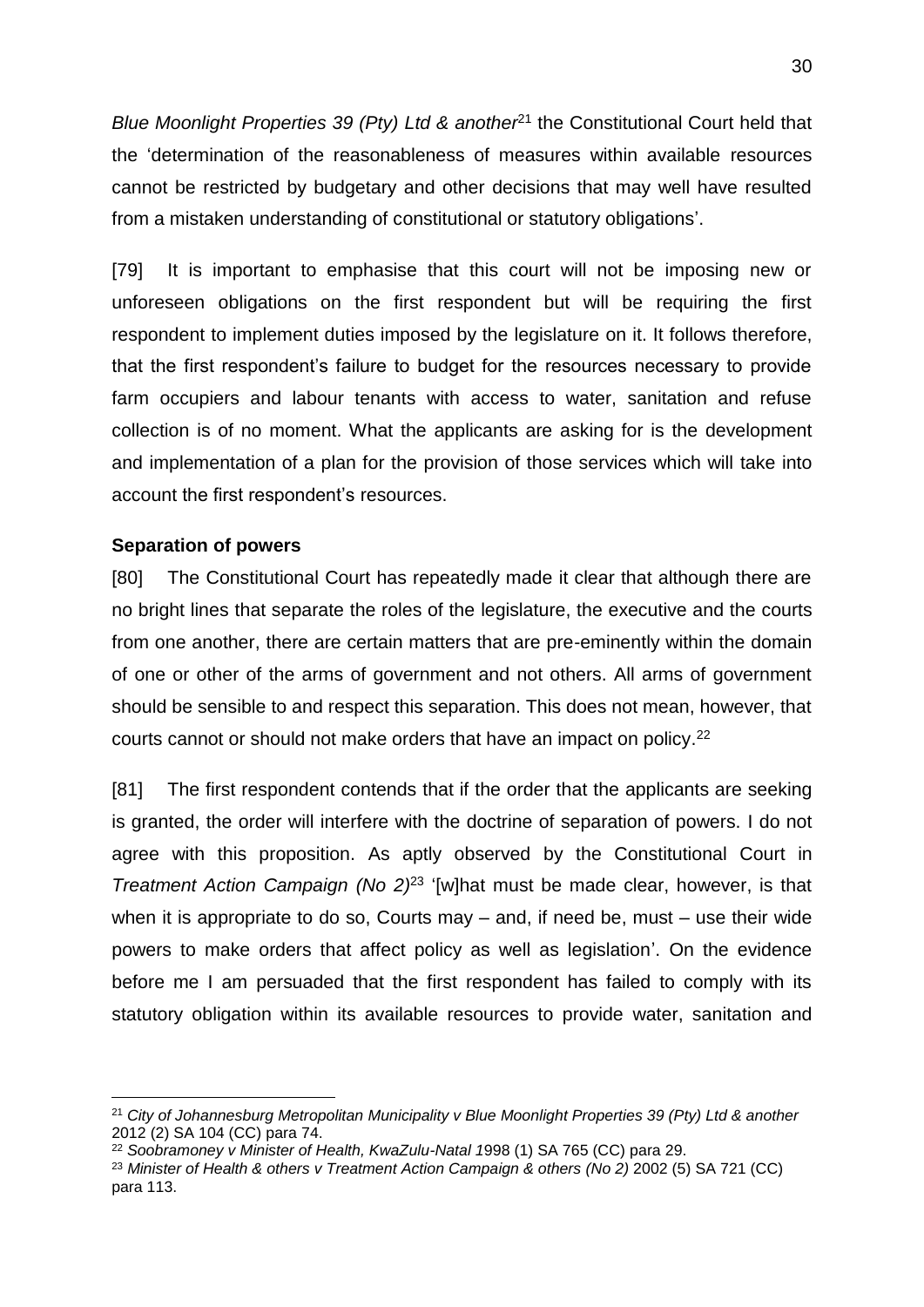*Blue Moonlight Properties 39 (Pty) Ltd & another*<sup>21</sup> the Constitutional Court held that the 'determination of the reasonableness of measures within available resources cannot be restricted by budgetary and other decisions that may well have resulted from a mistaken understanding of constitutional or statutory obligations'.

[79] It is important to emphasise that this court will not be imposing new or unforeseen obligations on the first respondent but will be requiring the first respondent to implement duties imposed by the legislature on it. It follows therefore, that the first respondent's failure to budget for the resources necessary to provide farm occupiers and labour tenants with access to water, sanitation and refuse collection is of no moment. What the applicants are asking for is the development and implementation of a plan for the provision of those services which will take into account the first respondent's resources.

#### **Separation of powers**

<u>.</u>

[80] The Constitutional Court has repeatedly made it clear that although there are no bright lines that separate the roles of the legislature, the executive and the courts from one another, there are certain matters that are pre-eminently within the domain of one or other of the arms of government and not others. All arms of government should be sensible to and respect this separation. This does not mean, however, that courts cannot or should not make orders that have an impact on policy. 22

[81] The first respondent contends that if the order that the applicants are seeking is granted, the order will interfere with the doctrine of separation of powers. I do not agree with this proposition. As aptly observed by the Constitutional Court in *Treatment Action Campaign (No 2)*<sup>23</sup> '[w]hat must be made clear, however, is that when it is appropriate to do so, Courts may – and, if need be, must – use their wide powers to make orders that affect policy as well as legislation'. On the evidence before me I am persuaded that the first respondent has failed to comply with its statutory obligation within its available resources to provide water, sanitation and

<sup>21</sup> *City of Johannesburg Metropolitan Municipality v Blue Moonlight Properties 39 (Pty) Ltd & another* 2012 (2) SA 104 (CC) para 74.

<sup>22</sup> *Soobramoney v Minister of Health, KwaZulu-Natal 1*998 (1) SA 765 (CC) para 29.

<sup>23</sup> *Minister of Health & others v Treatment Action Campaign & others (No 2)* 2002 (5) SA 721 (CC) para 113.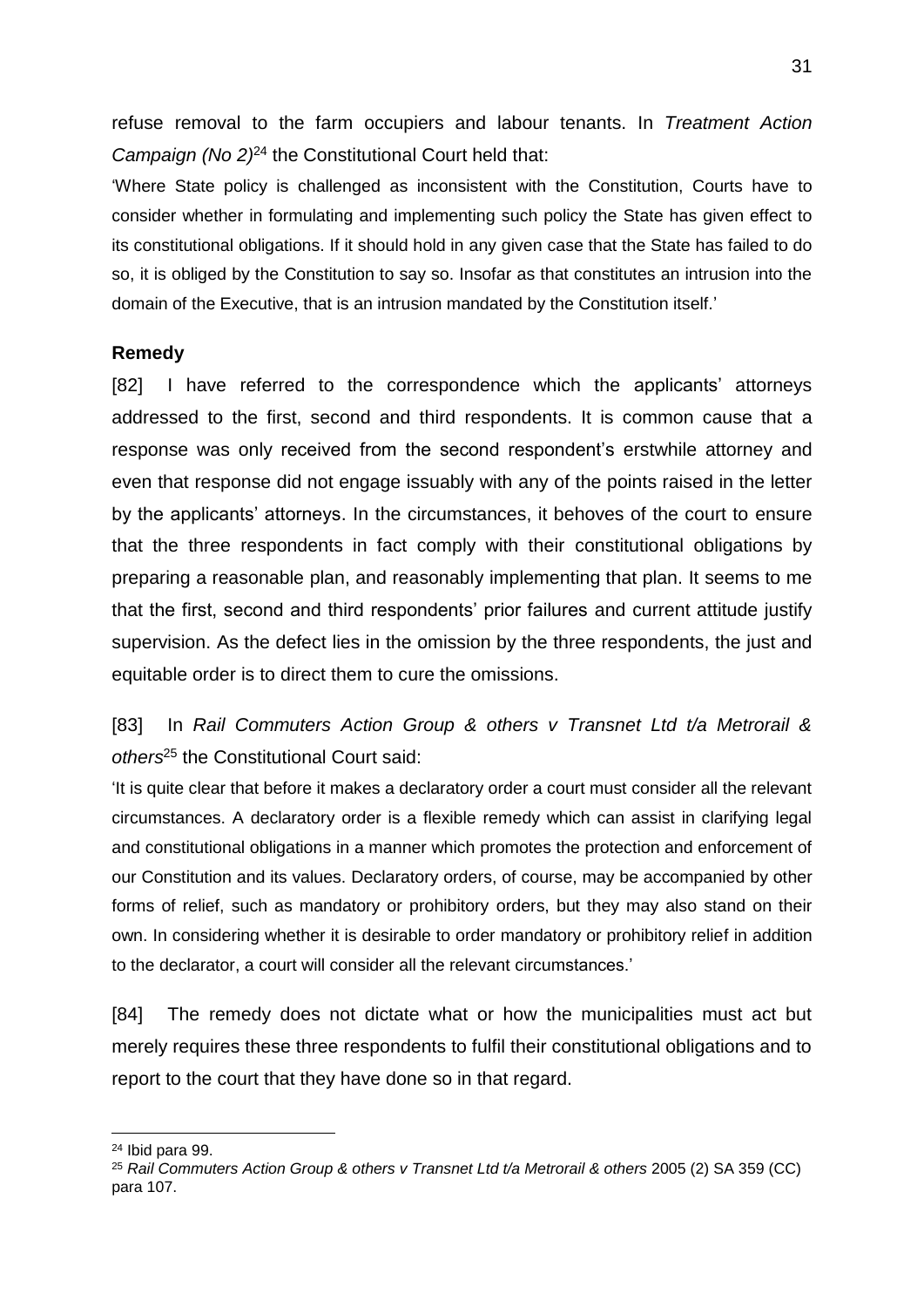refuse removal to the farm occupiers and labour tenants. In *Treatment Action Campaign (No 2)*<sup>24</sup> the Constitutional Court held that:

'Where State policy is challenged as inconsistent with the Constitution, Courts have to consider whether in formulating and implementing such policy the State has given effect to its constitutional obligations. If it should hold in any given case that the State has failed to do so, it is obliged by the Constitution to say so. Insofar as that constitutes an intrusion into the domain of the Executive, that is an intrusion mandated by the Constitution itself.'

#### **Remedy**

[82] I have referred to the correspondence which the applicants' attorneys addressed to the first, second and third respondents. It is common cause that a response was only received from the second respondent's erstwhile attorney and even that response did not engage issuably with any of the points raised in the letter by the applicants' attorneys. In the circumstances, it behoves of the court to ensure that the three respondents in fact comply with their constitutional obligations by preparing a reasonable plan, and reasonably implementing that plan. It seems to me that the first, second and third respondents' prior failures and current attitude justify supervision. As the defect lies in the omission by the three respondents, the just and equitable order is to direct them to cure the omissions.

[83] In *Rail Commuters Action Group & others v Transnet Ltd t/a Metrorail & others*<sup>25</sup> the Constitutional Court said:

'It is quite clear that before it makes a declaratory order a court must consider all the relevant circumstances. A declaratory order is a flexible remedy which can assist in clarifying legal and constitutional obligations in a manner which promotes the protection and enforcement of our Constitution and its values. Declaratory orders, of course, may be accompanied by other forms of relief, such as mandatory or prohibitory orders, but they may also stand on their own. In considering whether it is desirable to order mandatory or prohibitory relief in addition to the declarator, a court will consider all the relevant circumstances.'

[84] The remedy does not dictate what or how the municipalities must act but merely requires these three respondents to fulfil their constitutional obligations and to report to the court that they have done so in that regard.

<u>.</u>

<sup>24</sup> Ibid para 99.

<sup>25</sup> *Rail Commuters Action Group & others v Transnet Ltd t/a Metrorail & others* 2005 (2) SA 359 (CC) para 107.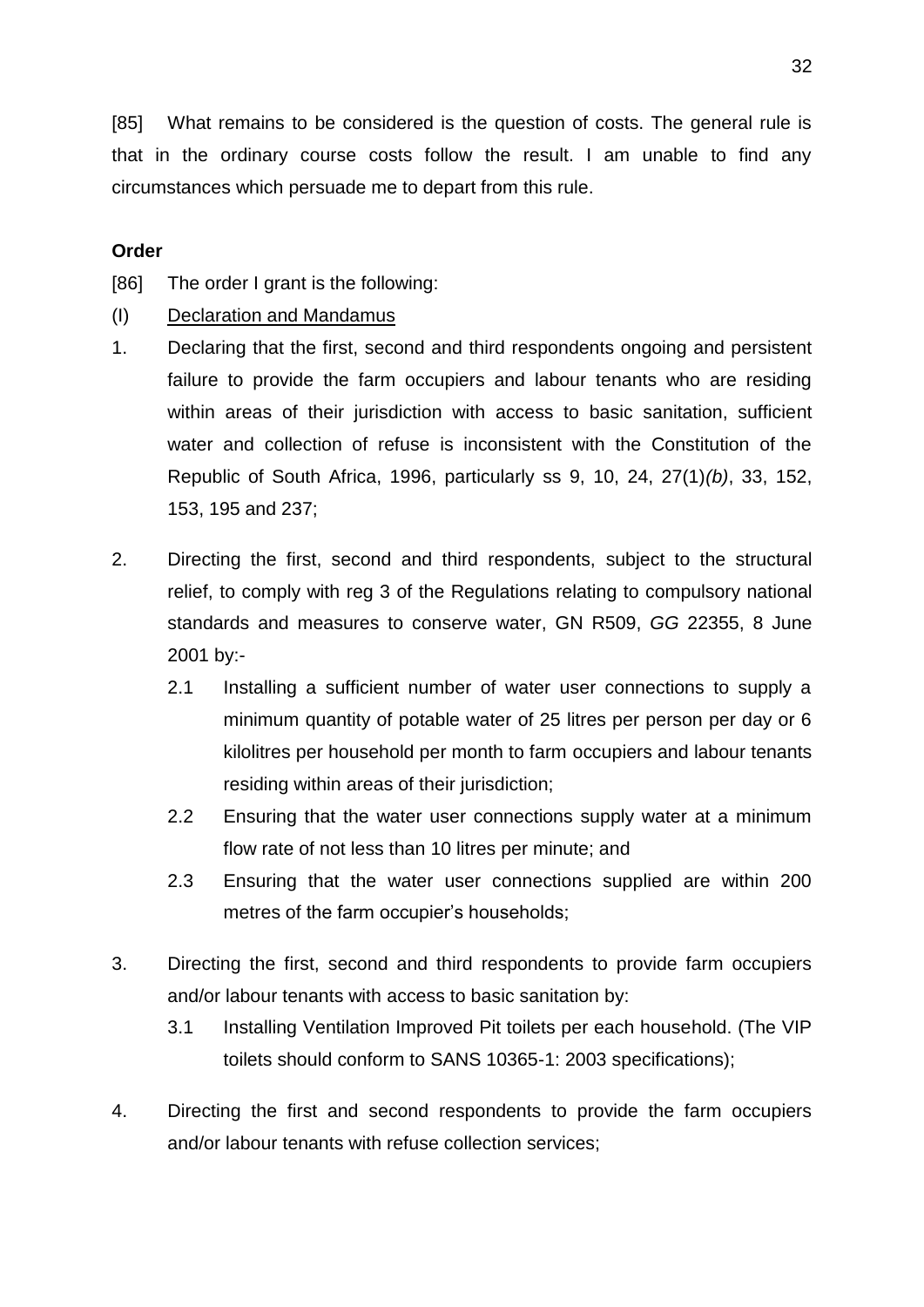[85] What remains to be considered is the question of costs. The general rule is that in the ordinary course costs follow the result. I am unable to find any circumstances which persuade me to depart from this rule.

## **Order**

[86] The order I grant is the following:

- (I) Declaration and Mandamus
- 1. Declaring that the first, second and third respondents ongoing and persistent failure to provide the farm occupiers and labour tenants who are residing within areas of their jurisdiction with access to basic sanitation, sufficient water and collection of refuse is inconsistent with the Constitution of the Republic of South Africa, 1996, particularly ss 9, 10, 24, 27(1)*(b)*, 33, 152, 153, 195 and 237;
- 2. Directing the first, second and third respondents, subject to the structural relief, to comply with reg 3 of the Regulations relating to compulsory national standards and measures to conserve water, GN R509, *GG* 22355, 8 June 2001 by:-
	- 2.1 Installing a sufficient number of water user connections to supply a minimum quantity of potable water of 25 litres per person per day or 6 kilolitres per household per month to farm occupiers and labour tenants residing within areas of their jurisdiction;
	- 2.2 Ensuring that the water user connections supply water at a minimum flow rate of not less than 10 litres per minute; and
	- 2.3 Ensuring that the water user connections supplied are within 200 metres of the farm occupier's households;
- 3. Directing the first, second and third respondents to provide farm occupiers and/or labour tenants with access to basic sanitation by:
	- 3.1 Installing Ventilation Improved Pit toilets per each household. (The VIP toilets should conform to SANS 10365-1: 2003 specifications);
- 4. Directing the first and second respondents to provide the farm occupiers and/or labour tenants with refuse collection services;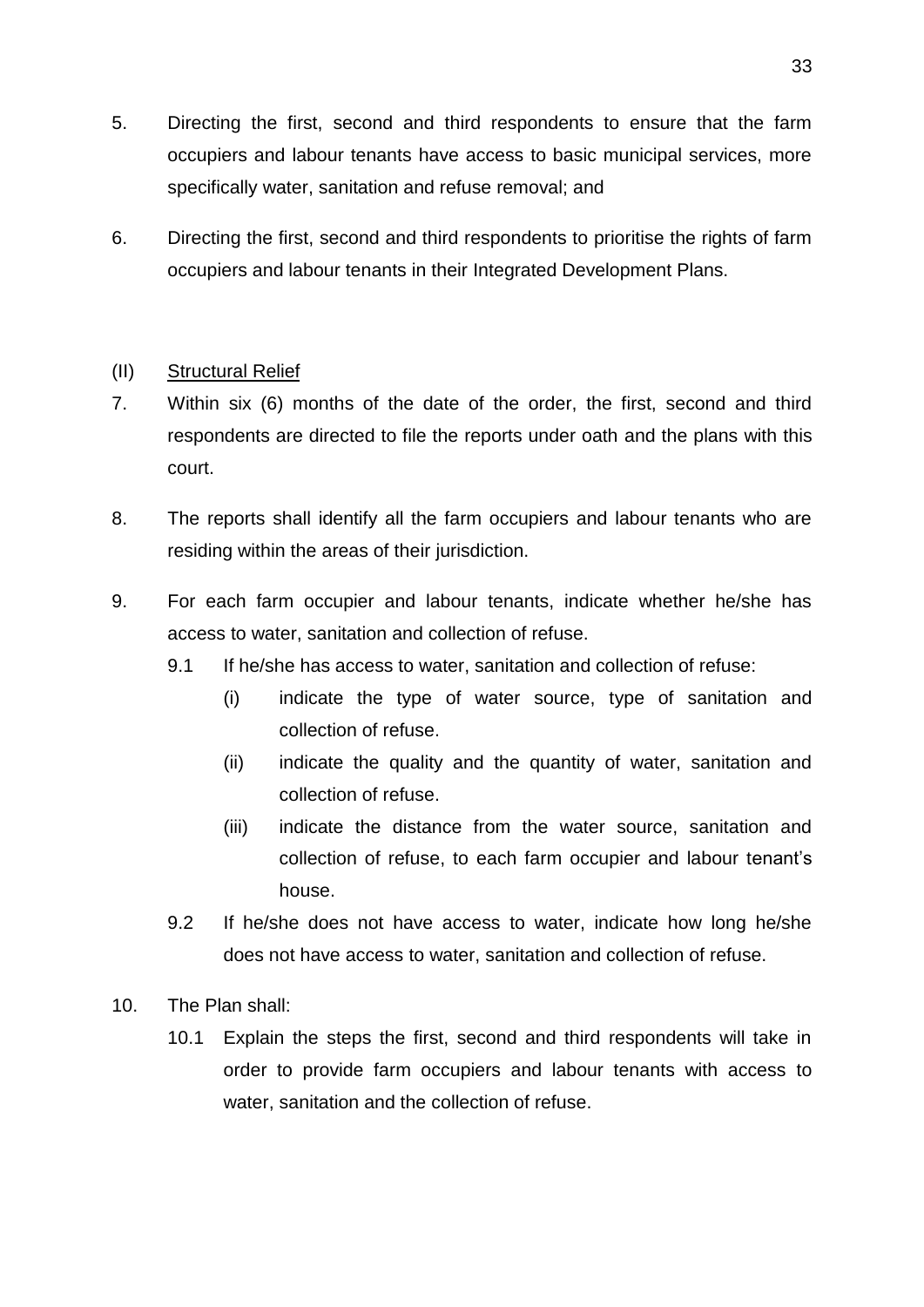- 5. Directing the first, second and third respondents to ensure that the farm occupiers and labour tenants have access to basic municipal services, more specifically water, sanitation and refuse removal; and
- 6. Directing the first, second and third respondents to prioritise the rights of farm occupiers and labour tenants in their Integrated Development Plans.

## (II) Structural Relief

- 7. Within six (6) months of the date of the order, the first, second and third respondents are directed to file the reports under oath and the plans with this court.
- 8. The reports shall identify all the farm occupiers and labour tenants who are residing within the areas of their jurisdiction.
- 9. For each farm occupier and labour tenants, indicate whether he/she has access to water, sanitation and collection of refuse.
	- 9.1 If he/she has access to water, sanitation and collection of refuse:
		- (i) indicate the type of water source, type of sanitation and collection of refuse.
		- (ii) indicate the quality and the quantity of water, sanitation and collection of refuse.
		- (iii) indicate the distance from the water source, sanitation and collection of refuse, to each farm occupier and labour tenant's house.
	- 9.2 If he/she does not have access to water, indicate how long he/she does not have access to water, sanitation and collection of refuse.
- 10. The Plan shall:
	- 10.1 Explain the steps the first, second and third respondents will take in order to provide farm occupiers and labour tenants with access to water, sanitation and the collection of refuse.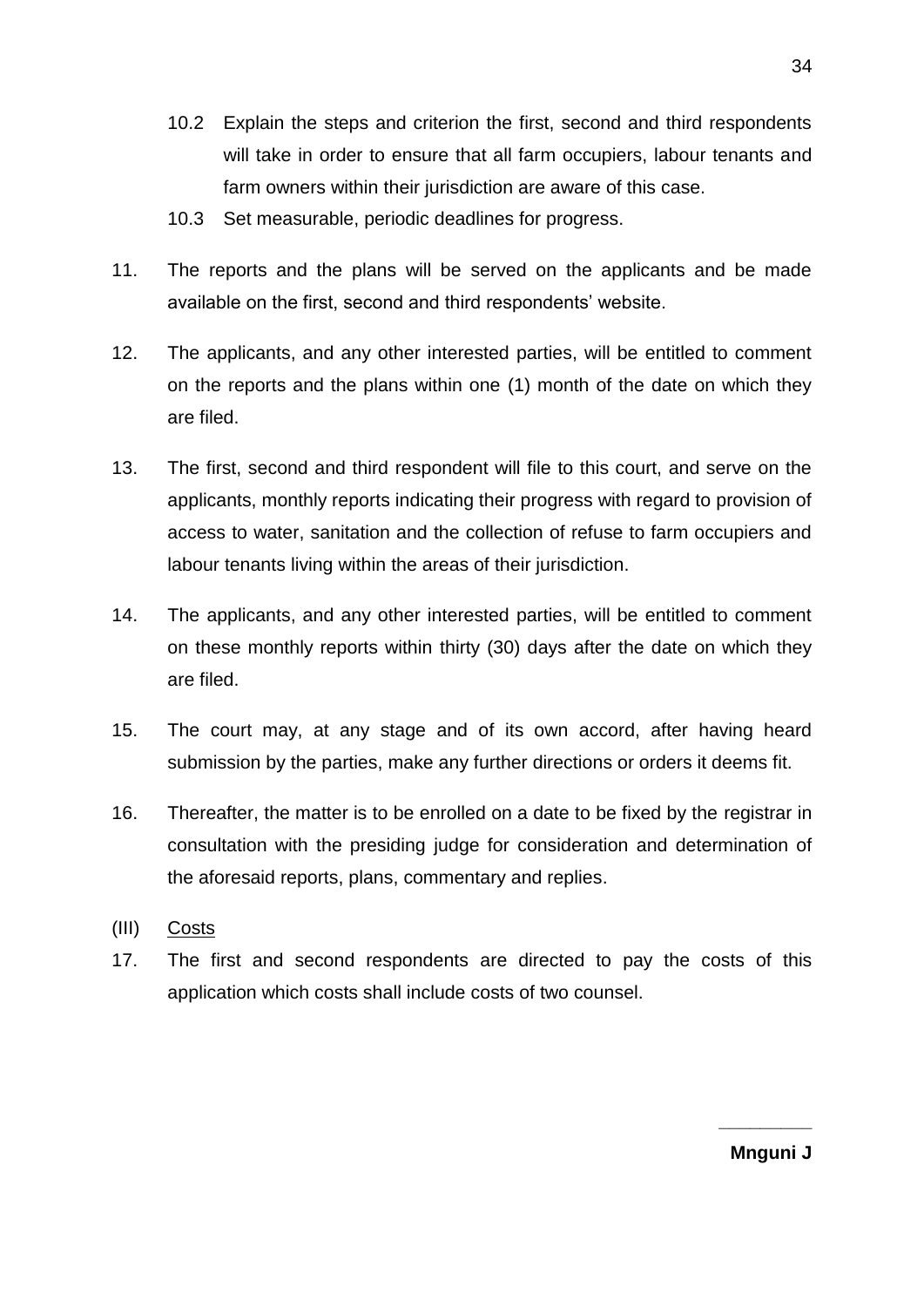- 10.2 Explain the steps and criterion the first, second and third respondents will take in order to ensure that all farm occupiers, labour tenants and farm owners within their jurisdiction are aware of this case.
- 10.3 Set measurable, periodic deadlines for progress.
- 11. The reports and the plans will be served on the applicants and be made available on the first, second and third respondents' website.
- 12. The applicants, and any other interested parties, will be entitled to comment on the reports and the plans within one (1) month of the date on which they are filed.
- 13. The first, second and third respondent will file to this court, and serve on the applicants, monthly reports indicating their progress with regard to provision of access to water, sanitation and the collection of refuse to farm occupiers and labour tenants living within the areas of their jurisdiction.
- 14. The applicants, and any other interested parties, will be entitled to comment on these monthly reports within thirty (30) days after the date on which they are filed.
- 15. The court may, at any stage and of its own accord, after having heard submission by the parties, make any further directions or orders it deems fit.
- 16. Thereafter, the matter is to be enrolled on a date to be fixed by the registrar in consultation with the presiding judge for consideration and determination of the aforesaid reports, plans, commentary and replies.
- (III) Costs
- 17. The first and second respondents are directed to pay the costs of this application which costs shall include costs of two counsel.

**Mnguni J**

**\_\_\_\_\_\_\_\_\_**